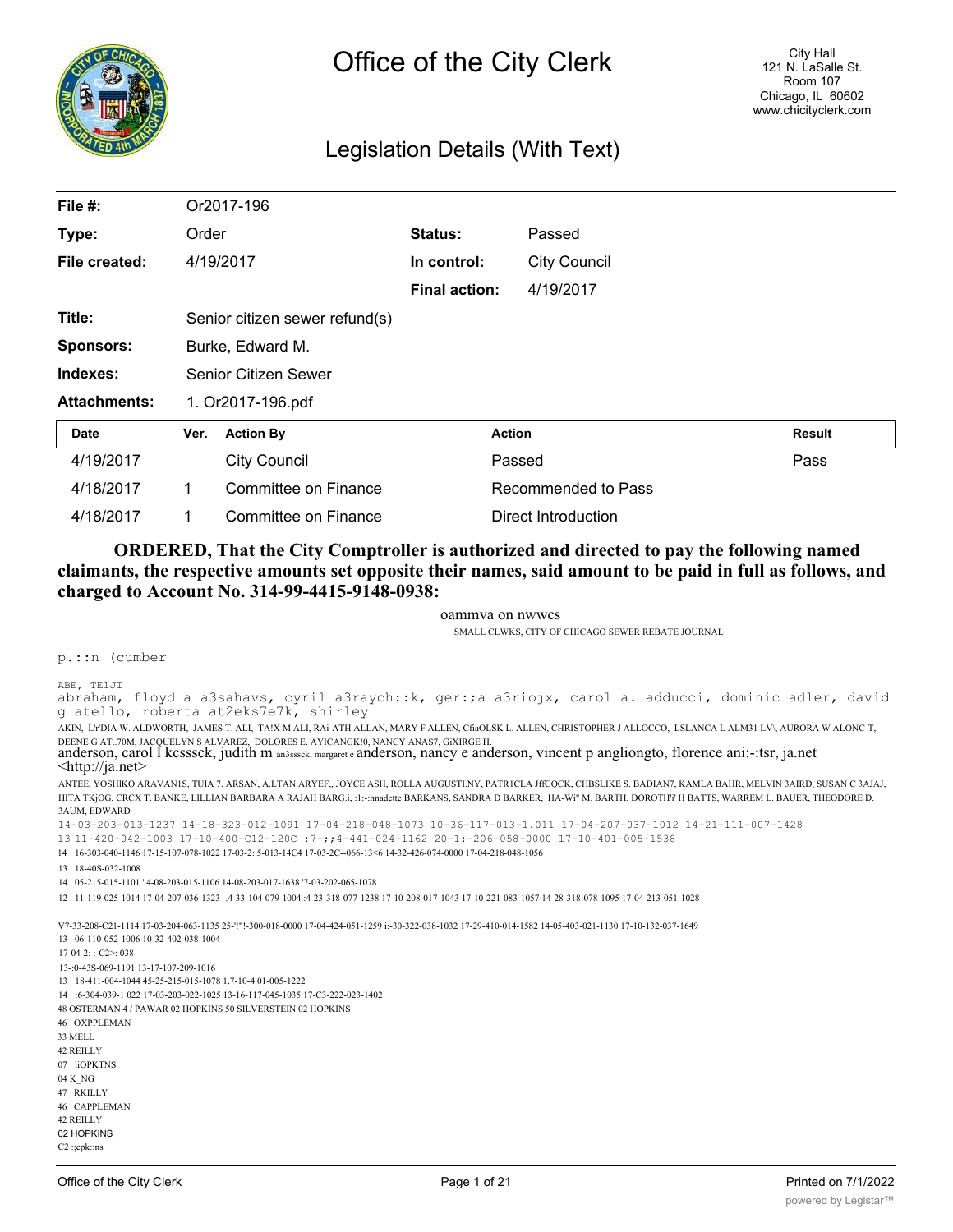

# Legislation Details (With Text)

| File #:             |                  | Or2017-196                     |                      |                     |        |
|---------------------|------------------|--------------------------------|----------------------|---------------------|--------|
| Type:               | Order            |                                | Status:              | Passed              |        |
| File created:       |                  | 4/19/2017                      | In control:          | <b>City Council</b> |        |
|                     |                  |                                | <b>Final action:</b> | 4/19/2017           |        |
| Title:              |                  | Senior citizen sewer refund(s) |                      |                     |        |
| <b>Sponsors:</b>    | Burke, Edward M. |                                |                      |                     |        |
| Indexes:            |                  | Senior Citizen Sewer           |                      |                     |        |
| <b>Attachments:</b> |                  | 1. Or2017-196.pdf              |                      |                     |        |
| <b>Date</b>         | Ver.             | <b>Action By</b>               |                      | <b>Action</b>       | Result |
| 4/19/2017           |                  | <b>City Council</b>            |                      | Passed              | Pass   |
| 4/18/2017           |                  | Committee on Finance           |                      | Recommended to Pass |        |
| 4/18/2017           | 1                | Committee on Finance           |                      | Direct Introduction |        |

## **ORDERED, That the City Comptroller is authorized and directed to pay the following named claimants, the respective amounts set opposite their names, said amount to be paid in full as follows, and charged to Account No. 314-99-4415-9148-0938:**

oammva on nwwcs

SMALL CLWKS, CITY OF CHICAGO SEWER REBATE JOURNAL

p.::n (cumber

ABE, TE1JI

abraham, floyd a a3sahavs, cyril a3raych::k, ger:;a a3riojx, carol a. adducci, dominic adler, david g atello, roberta at2eks7e7k, shirley

AKIN, L'r'DIA W. ALDWORTH, JAMES T. ALI, TA!X M ALI, RAi-ATH ALLAN, MARY F ALLEN, CfiaOLSK L. ALLEN, CHRISTOPHER J ALLOCCO, LSLANCA L ALM31 LV\, AURORA W ALONC-T,

DEENE G AT..70M, JACQUELYN S ALVAREZ, DOLORES E. AYICANGK!0, NANCY ANAS7, GIXIRGE H.<br>anderson, carol I kcsssck, judith m an3sssck, margaret e anderson, nancy e anderson, vincent p angliongto, florence ani:-:tsr, ja.net<br><ht

ANTEE, YOSHlKO ARAVAN1S, TUIA 7. ARSAN, A.LTAN ARYEF,, JOYCE ASH, ROLLA AUGUSTI.NY, PATR1CLA JffCQCK, CHBSLIKE S. BADIAN7, KAMLA BAHR, MELVIN 3AIRD, SUSAN C 3AJAJ, HITA TKjOG, CRCX T. BANKE, LILLIAN BARBARA A RAJAH BARG.i, :1:-:hnadette BARKANS, SANDRA D BARKER, HA-Wi" M. BARTH, DOROTH'i' H BATTS, WARREM L. BAUER, THEODORE D. 3AUM, EDWARD

14-03-203-013-1237 14-18-323-012-1091 17-04-218-048-1073 10-36-117-013-1.011 17-04-207-037-1012 14-21-111-007-1428

- 13 11-420-042-1003 17-10-400-C12-120C :7-;;4-441-024-1162 20-1:-206-058-0000 17-10-401-005-1538
- 14 16-303-040-1146 17-15-107-078-1022 17-03-2: 5-013-14C4 17-03-2C--066-13<6 14-32-426-074-0000 17-04-218-048-1056

13 18-40S-032-1008

14 05-215-015-1101 '.4-08-203-015-1106 14-08-203-017-1638 '7-03-202-065-1078

12 11-119-025-1014 17-04-207-036-1323 -.4-33-104-079-1004 :4-23-318-077-1238 17-10-208-017-1043 17-10-221-083-1057 14-28-318-078-1095 17-04-213-051-1028

V7-33-208-C21-1114 17-03-204-063-1135 25-'!"!-300-018-0000 17-04-424-051-1259 i:-30-322-038-1032 17-29-410-014-1582 14-05-403-021-1130 17-10-132-037-1649 13 06-110-052-1006 10-32-402-038-1004

17-04-2: :-C2>: 038 13-:0-43S-069-1191 13-17-107-209-1016 13 18-411-004-1044 45-25-215-015-1078 1.7-10-4 01-005-1222 14 :6-304-039-1 022 17-03-203-022-1025 13-16-117-045-1035 17-C3-222-023-1402 48 OSTERMAN 4 / PAWAR 02 HOPKINS 50 SILVERSTEIN 02 HOPKINS 46 OXPPLEMAN 33 MELL

42 REILLY 07 liOPKTNS 04 K\_NG 47 RKILLY 46 CAPPLEMAN 42 REILLY 02 HOPKINS C2 :;cpk::ns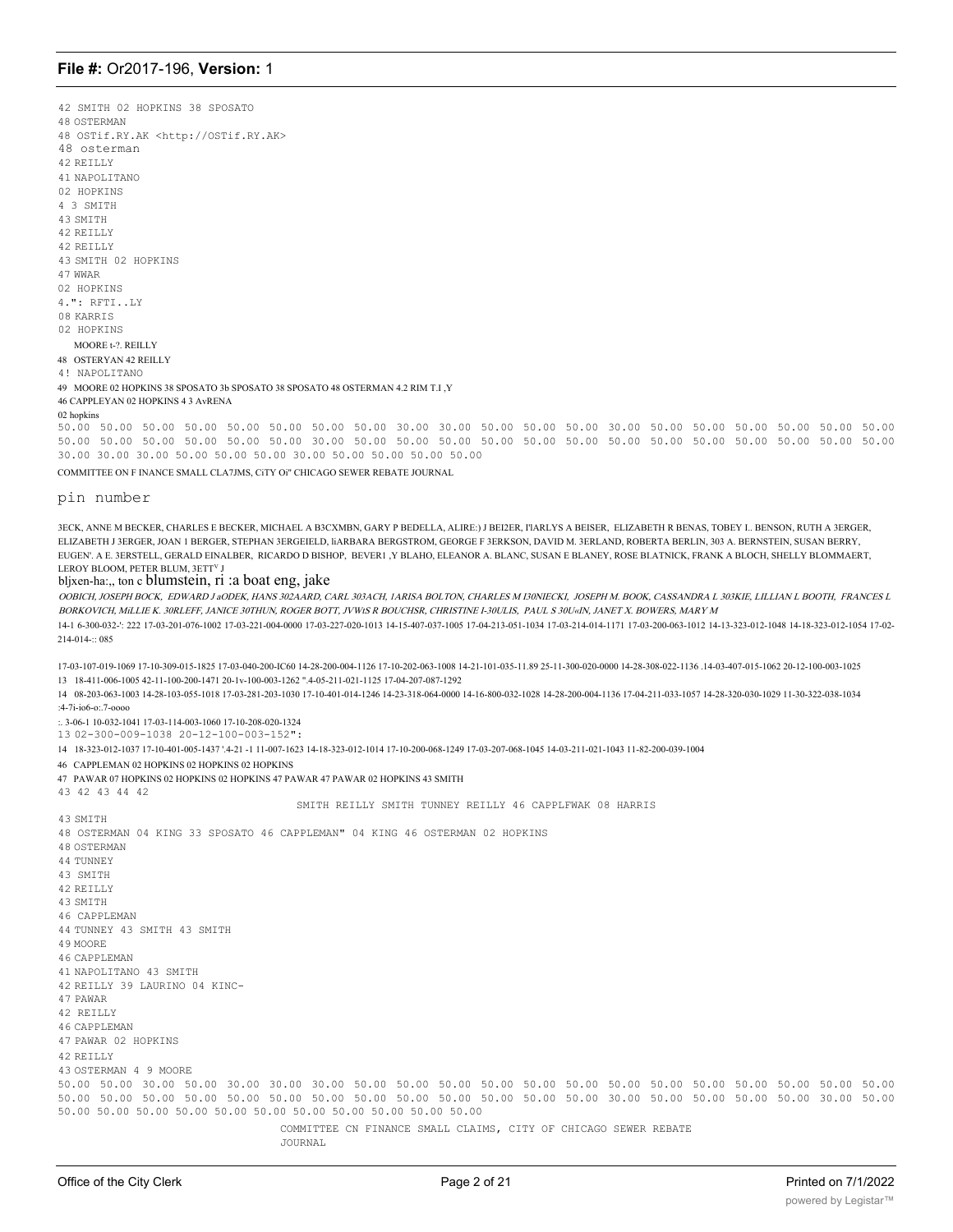42 SMITH 02 HOPKINS 38 SPOSATO 48 OSTERMAN 48 OSTif.RY.AK <http://OSTif.RY.AK> 48 osterman 42 REILLY 41 NAPOLITANO 02 HOPKINS 4 3 SMITH 43 SMTTH 42 REILLY 42 REILLY 43 SMTTH 02 HOPKINS 47 WWAR 02 HOPKINS 4.": RFTI..LY 08 KARRIS 02 HOPKINS MOORE t-?. REILLY 48 OSTERYAN 42 REILLY 4! NAPOLITANO 49 MOORE 02 HOPKINS 38 SPOSATO 3b SPOSATO 38 SPOSATO 48 OSTERMAN 4.2 RIM T.I.Y 46 CAPPLEYAN 02 HOPKINS 4 3 AvRENA 02 hopkins

50.00 50.00 50.00 50.00 50.00 50.00 50.00 50.00 30.00 30.00 50.00 50.00 50.00 30.00 50.00 50.00 50.00 50.00 50.00 50.00 50.00 50.00 50.00 50.00 50.00 50.00 30.00 50.00 50.00 50.00 50.00 50.00 50.00 50.00 50.00 50.00 50.00 50.00 50.00 50.00 30.00 30.00 30.00 50.00 50.00 50.00 30.00 50.00 50.00 50.00 50.00

COMMITTEE ON F INANCE SMALL CLA7JMS, CITY Oi" CHICAGO SEWER REBATE JOURNAL

pin number

3ECK, ANNE M BECKER, CHARLES E BECKER, MICHAEL A B3CXMBN, GARY P BEDELLA, ALIRE:) J BEI2ER, I'IARLYS A BEISER, ELIZABETH R BENAS, TOBEY L. BENSON, RUTH A 3ERGER, ELIZABETH J 3ERGER, JOAN 1 BERGER, STEPHAN 3ERGEIELD, HARBARA BERGSTROM, GEORGE F 3ERKSON, DAVID M. 3ERLAND, ROBERTA BERLIN, 303 A. BERNSTEIN, SUSAN BERRY, EUGEN'. A E. 3ERSTELL, GERALD EINALBER, RICARDO D BISHOP, BEVER1, Y BLAHO, ELEANOR A. BLANC, SUSAN E BLANEY, ROSE BLATNICK, FRANK A BLOCH, SHELLY BLOMMAERT, LEROY BLOOM, PETER BLUM, 3ETTV.

### bljxen-ha:,, ton c blumstein, ri :a boat eng, jake

OOBICH, JOSEPH BOCK, EDWARD JaODEK, HANS 302AARD, CARL 303ACH, IARISA BOLTON, CHARLES M I30NIECKI, JOSEPH M. BOOK, CASSANDRA L 303KIE, LILLIAN L BOOTH, FRANCES L BORKOVICH, MiLLIE K. 30RLEFF, JANICE 30THUN, ROGER BOTT, JVWtS R BOUCHSR, CHRISTINE I-30ULIS, PAUL S 30U«IN, JANET X. BOWERS, MARY M

14-1 6-300-032-22 17-03-201-076-1002 17-03-221-004-0000 17-03-227-020-1013 14-15-407-037-1005 17-04-213-051-1034 17-03-214-014-1171 17-03-200-063-1012 14-13-323-012-1048 14-18-323-012-1048 14-18-323-012-1048 14-18-323-012-1 214-014-:: 085

17-03-107-019-1069 17-10-309-015-1825 17-03-040-200-IC60 14-28-200-004-1126 17-10-202-063-1008 14-21-101-035-11-89 25-11-300-020-0000 14-28-308-022-1136 14-03-407-015-1062 20-12-100-031 1025 13 18-411-006-1005 42-11-100-200-1471 20-1v-100-003-1262 ",4-05-211-021-1125 17-04-207-087-1292

14 08-203-063-1003 14-28-103-055-1018 17-03-281-203-1030 17-10-401-014-1246 14-23-318-064-0000 14-16-800-032-1028 14-28-200-004-1136 17-04-211-033-1057 14-28-320-030-1029 11-30-322-038-1034  $-4 - 7i - i06 - 2 - 7 - 0000$ 

:. 3-06-1 10-032-1041 17-03-114-003-1060 17-10-208-020-1324

13 02-300-009-1038 20-12-100-003-152":

14 18-323-012-1037 17-10-401-005-1437 '.4-21 -1 11-007-1623 14-18-323-012-1014 17-10-200-068-1249 17-03-207-068-1045 14-03-211-021-1043 11-82-200-039-1004

46 CAPPLEMAN 02 HOPKINS 02 HOPKINS 02 HOPKINS

47 PAWAR 07 HOPKINS 02 HOPKINS 02 HOPKINS 47 PAWAR 47 PAWAR 02 HOPKINS 43 SMITH

SMITH REILLY SMITH TUNNEY REILLY 46 CAPPLEWAK 08 HARRIS

43 SMTTH 48 OSTERMAN 04 KING 33 SPOSATO 46 CAPPLEMAN" 04 KING 46 OSTERMAN 02 HOPKINS **48 OSTERMAN** 44 THNNEY

43 42 43 44 42

- 43 SMITH
- 42 RETLLY
- 43 SMTTH

46 CAPPLEMAN 44 TUNNEY 43 SMITH 43 SMITH

- 49 MOORE
- **46 CAPPLEMAN**
- 41 NAPOLITANO 43 SMITH

42 REILLY 39 LAURINO 04 KINC-

47 PAWAR

42 RETLLY

**46 CAPPLEMAN** 

47 PAWAR 02 HOPKINS

42 RETLLY

43 OSTERMAN 4 9 MOORE 50.00 50.00 30.00 50.00 30.00 30.00 30.00 50.00 50.00 50.00 50.00 50.00 50.00 50.00 50.00 50.00 50.00 50.00 50.00 50.00 50.00 50.00 50.00 50.00 50.00 50.00 50.00 50.00 50.00 50.00 50.00 50.00 50.00 30.00 50.00 50.00 50.00 50.00 30.00 50.00 50.00 50.00 50.00 50.00 50.00 50.00 50.00 50.00 50.00 50.00 50.00

COMMITTEE CN FINANCE SMALL CLAIMS, CITY OF CHICAGO SEWER REBATE

JOURNAL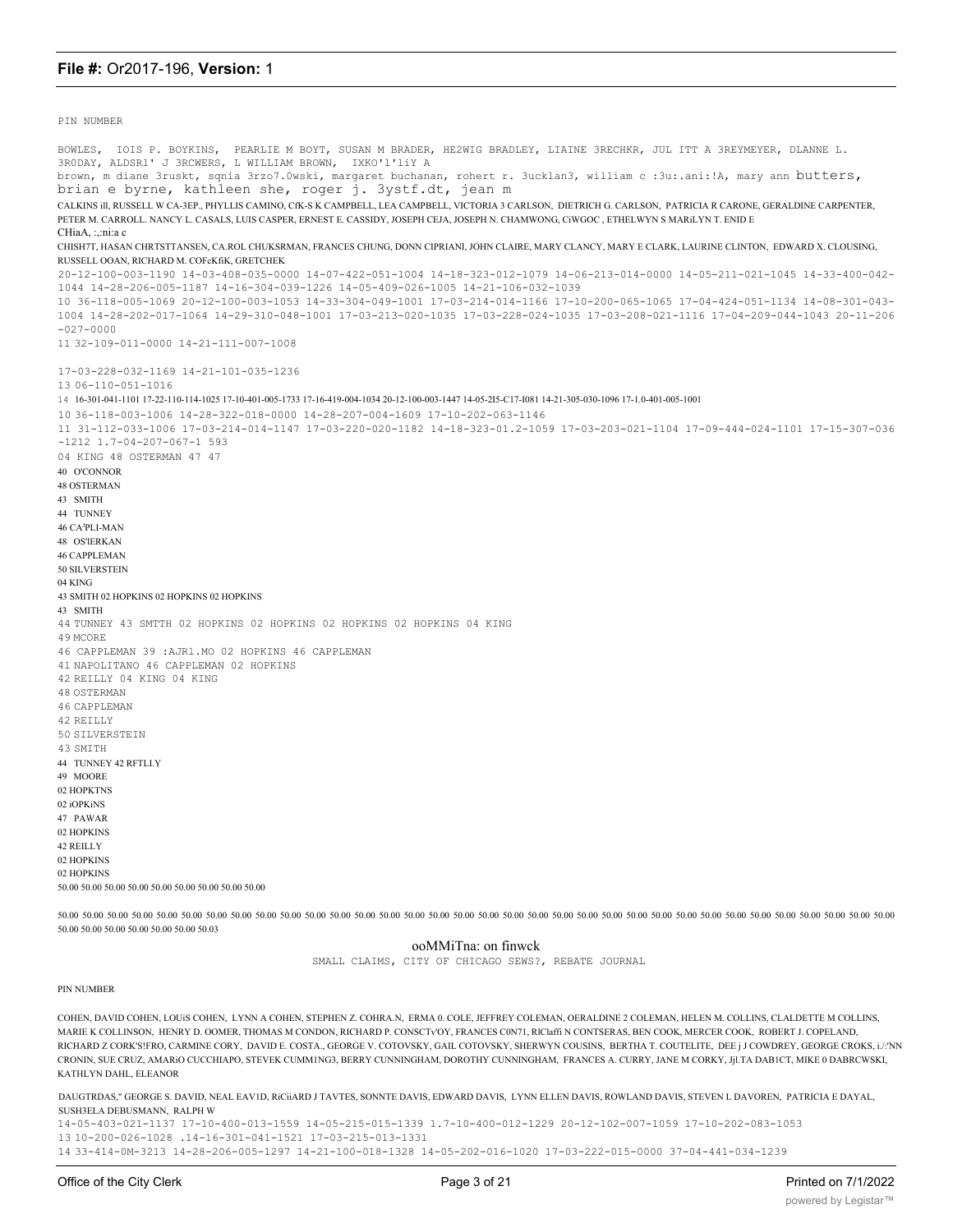PTN NUMBER

BOWLES, IOIS P. BOYKINS, PEARLIE M BOYT, SUSAN M BRADER, HE2WIG BRADLEY, LIAINE 3RECHKR, JUL ITT A 3REYMEYER, DLANNE L. 3RODAY, ALDSR1' J 3RCWERS, L WILLIAM BROWN, IXKO'l'liY A brown, m diane 3ruskt, sqnia 3rzo7.0wski, margaret buchanan, rohert r. 3ucklan3, william c :3u:.ani:!A, mary ann butters, brian e byrne, kathleen she, roger j. 3ystf.dt, jean m CALKINS ill, RUSSELL W CA-3EP., PHYLLIS CAMINO, CfK-S K CAMPBELL, LEA CAMPBELL, VICTORIA 3 CARLSON, DIETRICH G. CARLSON, PATRICIA R CARONE, GERALDINE CARPENTER, PETER M. CARROLL, NANCY L. CASALS, LUIS CASPER, ERNEST E. CASSIDY, JOSEPH CEIA, JOSEPH N. CHAMWONG, GWGOC, ETHELWYN S. MARILYN T. ENID E CHiaA, :,:ni:a c CHISH7T, HASAN CHRTSTTANSEN, CA.ROL CHUKSRMAN, FRANCES CHUNG, DONN CIPRIANI, JOHN CLAIRE, MARY CLANCY, MARY E CLARK, LAURINE CLINTON, EDWARD X. CLOUSING, RUSSELL OOAN, RICHARD M. COFcKfiK, GRETCHEK 20-12-100-003-1190 14-03-408-035-0000 14-07-422-051-1004 14-18-323-012-1079 14-06-213-014-0000 14-05-211-021-1045 14-33-400-042-1044 14-28-206-005-1187 14-16-304-039-1226 14-05-409-026-1005 14-21-106-032-1039 10 36-118-005-1069 20-12-100-003-1053 14-33-304-049-1001 17-03-214-014-1166 17-10-200-065-1065 17-04-424-051-1134 14-08-301-043-1004 14-28-202-017-1064 14-29-310-048-1001 17-03-213-020-1035 17-03-228-024-1035 17-03-208-021-1116 17-04-209-044-1043 20-11-206  $-027 - 0000$  $11.32 - 109 - 011 - 0000$   $14 - 21 - 111 - 007 - 1008$  $17 - 03 - 228 - 032 - 1169$   $14 - 21 - 101 - 035 - 1236$ 13 06-110-051-1016 14 16-301-041-1101 17-22-110-114-1025 17-10-401-005-1733 17-16-419-004-1034 20-12-100-003-1447 14-05-215-C17-081 14-21-305-030-1096 17-1.0-401-005-1001 10 36-118-003-1006 14-28-322-018-0000 14-28-207-004-1609 17-10-202-063-1146 11 31-112-033-1006 17-03-214-014-1147 17-03-220-020-1182 14-18-323-01.2-1059 17-03-203-021-1104 17-09-444-024-1101 17-15-307-036  $-1212$  1.7-04-207-067-1 593 04 KING 48 OSTERMAN 47 47 40 O'CONNOR **48 OSTERMAN** 43 SMITH 44 TUNNEY 46 CAPLLMAN 48 OS'IERKAN **46 CAPPLEMAN** 50 SILVERSTEIN 04 KING 43 SMITH 02 HOPKINS 02 HOPKINS 02 HOPKINS 43 SMITH 44 TUNNEY 43 SMTTH 02 HOPKINS 02 HOPKINS 02 HOPKINS 02 HOPKINS 04 KING 49 MCORE 46 CAPPLEMAN 39 : AJR1. MO 02 HOPKINS 46 CAPPLEMAN 41 NAPOLITANO 46 CAPPLEMAN 02 HOPKINS 42 REILLY 04 KING 04 KING **48 OSTERMAN** 46 CAPPLEMAN 42 RETLLY 50 STLVERSTEIN 43 SMTTH 44 TUNNEY 42 RFTLI.Y 49 MOORE 02 HOPKTNS 02 iOPKiNS 47 PAWAR 02 HOPKINS 42 REILLY 02 HOPKINS 02 HOPKINS 50.00 50.00 50.00 50.00 50.00 50.00 50.00 50.00 50.00 50.00 50.00 50.00 50.00 50.00 50.00 50.00 50.00 50.00 50.00 50.00 50.00 50.00 50.00 50.00 50.00 50.00 50.00 50.00 50.00 50.00 50.00 50.00 50.00 50.00 50.00 50.00 50.00 50.00 50.00 50.00 50.00 50.00 50.00 50.00 50.00 50.00 5

ooMMiTna: on finwck

SMALL CLAIMS, CITY OF CHICAGO SEWS?, REBATE JOURNAL

#### PIN NUMBER

50.00 50.00 50.00 50.00 50.00 50.00 50.03

COHEN, DAVID COHEN, LOUIS COHEN, LYNN A COHEN, STEPHEN Z. COHRA.N, ERMA 0. COLE, JEFFREY COLEMAN, OERALDINE 2 COLEMAN, HELEN M. COLLINS, CLALDETTE M COLLINS, MARIE K COLLINSON. HENRY D. OOMER. THOMAS M CONDON. RICHARD P. CONSCTVOY. FRANCES CON71. RICLaffi N CONTSERAS, BEN COOK, MERCER COOK, ROBERT J. COPELAND. RICHARD Z CORK'S!FRO, CARMINE CORY, DAVID E. COSTA., GEORGE V. COTOVSKY, GAIL COTOVSKY, SHERWYN COUSINS, BERTHA T. COUTELITE, DEE j J COWDREY, GEORGE CROKS, i./:'NN CRONIN, SUE CRUZ, AMARIO CUCCHIAPO, STEVEK CUMMING3, BERRY CUNNINGHAM, DOROTHY CUNNINGHAM, FRANCES A. CURRY, JANE M CORKY, Jjl.TA DABICT, MIKE 0 DABRCWSKI, KATHLYN DAHL, ELEANOR

DAUGTRDAS," GEORGE S. DAVID, NEAL EAVID, RICIIARD J TAVTES, SONNTE DAVIS, EDWARD DAVIS, LYNN ELLEN DAVIS, ROWLAND DAVIS, STEVEN L DAVOREN, PATRICIA E DAYAL, SUSH3ELA DEBUSMANN. RALPH W

14-05-403-021-1137 17-10-400-013-1559 14-05-215-015-1339 1.7-10-400-012-1229 20-12-102-007-1059 17-10-202-083-1053 13 10-200-026-1028 .14-16-301-041-1521 17-03-215-013-1331

14 33 -414 -0 - 3213 14 -28 -206 -005 -1297 14 -21 -100 -018 -1328 14 -05 -202 -016 -1020 17 -03 -222 -015 -0000 37 -04 -441 -034 -1239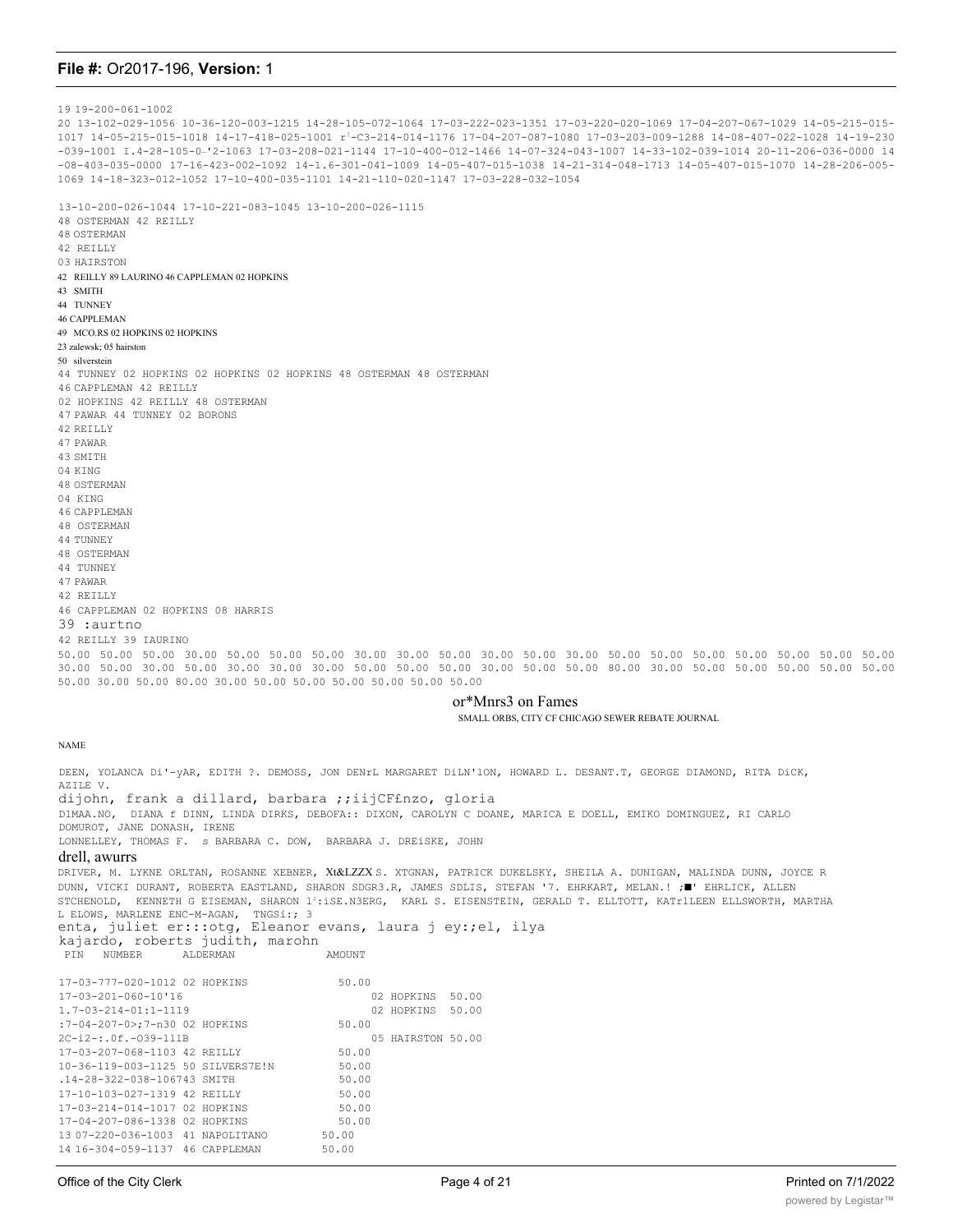19 19-200-061-1002 20 13-102-029-1056 10-36-120-003-1215 14-28-105-072-1064 17-03-222-023-1351 17-03-220-020-1069 17-04-207-067-1029 14-05-215-015- 1017 14-05-215-015-1018 14-17-418-025-1001 r!-C3-214-014-1176 17-04-207-087-1080 17-03-203-009-1288 14-08-407-022-1028 14-19-230 -039-1001 I.4-28-105-0\_'2-1063 17-03-208-021-1144 17-10-400-012-1466 14-07-324-043-1007 14-33-102-039-1014 20-11-206-036-0000 14 -08-403-035-0000 17-16-423-002-1092 14-1.6-301-041-1009 14-05-407-015-1038 14-21-314-048-1713 14-05-407-015-1070 14-28-206-005- 1069 14-18-323-012-1052 17-10-400-035-1101 14-21-110-020-1147 17-03-228-032-1054

13-10-200-026-1044 17-10-221-083-1045 13-10-200-026-1115 48 OSTERMAN 42 REILLY 48 OSTERMAN 42 REILLY 03 HAIRSTON 42 REILLY 89 LAURINO 46 CAPPLEMAN 02 HOPKINS 43 SMITH 44 TUNNEY 46 CAPPLEMAN 49 MCO.RS 02 HOPKINS 02 HOPKINS 23 zalewsk; 05 hairston 50 silverstein 44 TUNNEY 02 HOPKINS 02 HOPKINS 02 HOPKINS 48 OSTERMAN 48 OSTERMAN 46 CAPPLEMAN 42 REILLY 02 HOPKINS 42 REILLY 48 OSTERMAN 47 PAWAR 44 TUNNEY 02 BORONS 42 REILLY 47 PAWAR 43 SMITH 04 KING 48 OSTERMAN 04 KING 46 CAPPLEMAN 48 OSTERMAN 44 TUNNEY 48 OSTERMAN 44 TUNNEY 47 PAWAR 42 REILLY 46 CAPPLEMAN 02 HOPKINS 08 HARRIS 39 :aurtno 42 REILLY 39 IAURINO 50.00 50.00 50.00 30.00 50.00 50.00 50.00 30.00 30.00 50.00 30.00 50.00 30.00 50.00 50.00 50.00 50.00 50.00 50.00 50.00 30.00 50.00 30.00 50.00 30.00 30.00 30.00 50.00 50.00 50.00 30.00 50.00 50.00 80.00 30.00 50.00 50.00 50.00 50.00 50.00 50.00 30.00 50.00 80.00 30.00 50.00 50.00 50.00 50.00 50.00 50.00 or\*Mnrs3 on Fames SMALL ORBS, CITY CF CHICAGO SEWER REBATE JOURNAL NAME

DEEN, YOLANCA Di'-yAR, EDITH ?. DEMOSS, JON DENrL MARGARET DiLN'lON, HOWARD L. DESANT.T, GEORGE DIAMOND, RITA DiCK, AZILE V. dijohn, frank a dillard, barbara ;;iijCF£nzo, gloria D1MAA.NO, DIANA f DINN, LINDA DIRKS, DEBOFA:: DIXON, CAROLYN C DOANE, MARICA E DOELL, EMIKO DOMINGUEZ, RI CARLO DOMUROT, JANE DONASH, IRENE LONNELLEY, THOMAS F. s BARBARA C. DOW, BARBARA J. DREiSKE, JOHN

### drell, awurrs

DRIVER, M. LYKNE ORLTAN, ROSANNE XEBNER, Xt&LZZX S. XTGNAN, PATRICK DUKELSKY, SHEILA A. DUNIGAN, MALINDA DUNN, JOYCE R DUNN, VICKI DURANT, ROBERTA EASTLAND, SHARON SDGR3.R, JAMES SDLIS, STEFAN '7. EHRKART, MELAN.! ;■' EHRLICK, ALLEN STCHENOLD, KENNETH G EISEMAN, SHARON 1::iSE.N3ERG, KARL S. EISENSTEIN, GERALD T. ELLTOTT, KATr1LEEN ELLSWORTH, MARTHA L ELOWS, MARLENE ENC-M-AGAN, TNGSi:; 3 enta, juliet er:::otg, Eleanor evans, laura j ey:;el, ilya kajardo, roberts judith, marohn ALDERMAN AMOUNT

| 17-03-777-020-1012 02 HOPKINS     | 50.00 |                   |       |
|-----------------------------------|-------|-------------------|-------|
| $17 - 03 - 201 - 060 - 10$ '16    |       | 02 HOPKINS        | 50.00 |
| $1.7 - 0.3 - 2.14 - 0.11 - 1.119$ |       | 02 HOPKINS        | 50.00 |
| :7-04-207-0>:7-n30 02 HOPKINS     | 50.00 |                   |       |
| $2C - i2 - i0f - 039 - 111B$      |       | 05 HAIRSTON 50.00 |       |
| 17-03-207-068-1103 42 REILLY      | 50.00 |                   |       |
| 10-36-119-003-1125 50 SILVERS7E!N | 50.00 |                   |       |
| .14-28-322-038-106743 SMTTH       | 50.00 |                   |       |
| 17-10-103-027-1319 42 REILLY      | 50.00 |                   |       |
| 17-03-214-014-1017 02 HOPKINS     | 50.00 |                   |       |
| 17-04-207-086-1338 02 HOPKINS     | 50.00 |                   |       |
| 13 07-220-036-1003 41 NAPOLITANO  | 50.00 |                   |       |
| 14 16-304-059-1137 46 CAPPLEMAN   | 50.00 |                   |       |

14 17-1.0-401-005-1038 42 REILLY 50.00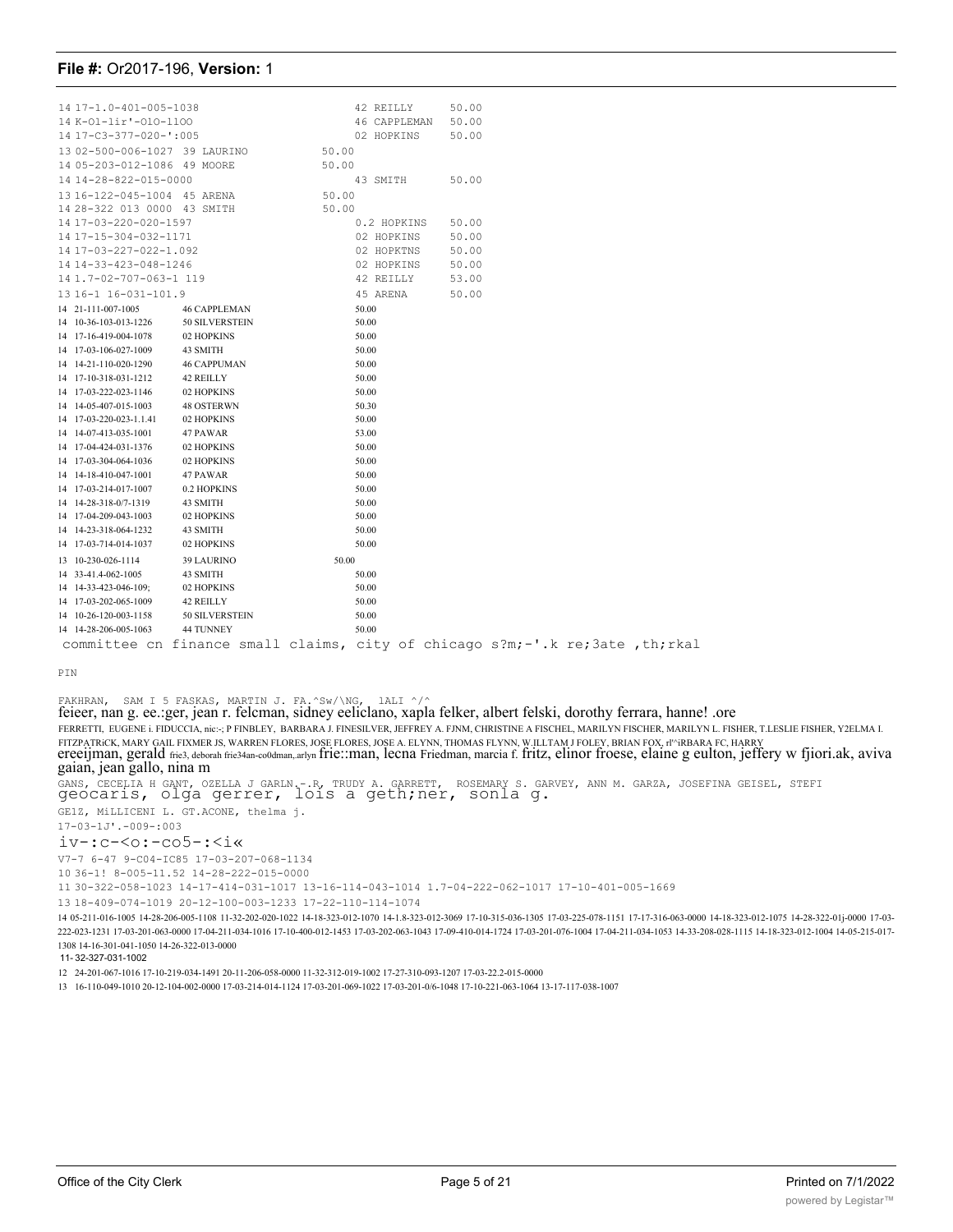| 14 17-1.0-401-005-1038                                                         |                       |       |          | 42 REILLY    | 50.00 |  |  |
|--------------------------------------------------------------------------------|-----------------------|-------|----------|--------------|-------|--|--|
| 14 K-01-lir'-010-1100                                                          |                       |       |          | 46 CAPPLEMAN | 50.00 |  |  |
| 14 17-C3-377-020-':005                                                         |                       |       |          | 02 HOPKINS   | 50.00 |  |  |
| 13 02-500-006-1027 39 LAURINO                                                  |                       | 50.00 |          |              |       |  |  |
| 14 05-203-012-1086 49 MOORE                                                    |                       | 50.00 |          |              |       |  |  |
| 14 14-28-822-015-0000                                                          |                       |       | 43 SMITH |              | 50.00 |  |  |
| 13 16-122-045-1004 45 ARENA                                                    |                       | 50.00 |          |              |       |  |  |
| 14 28-322 013 0000 43 SMITH                                                    |                       | 50.00 |          |              |       |  |  |
| 14 17-03-220-020-1597                                                          |                       |       |          | 0.2 HOPKINS  | 50.00 |  |  |
| 14 17-15-304-032-1171                                                          |                       |       |          | 02 HOPKINS   | 50.00 |  |  |
| 14 17-03-227-022-1.092                                                         |                       |       |          | 02 HOPKTNS   | 50.00 |  |  |
| 14 14-33-423-048-1246                                                          |                       |       |          | 02 HOPKINS   | 50.00 |  |  |
| 14 1.7-02-707-063-1 119                                                        |                       |       |          | 42 REILLY    | 53.00 |  |  |
| 13 16-1 16-031-101.9                                                           |                       |       |          | 45 ARENA     | 50.00 |  |  |
| 14 21-111-007-1005                                                             | <b>46 CAPPLEMAN</b>   |       | 50.00    |              |       |  |  |
| 14 10-36-103-013-1226                                                          | <b>50 SILVERSTEIN</b> |       | 50.00    |              |       |  |  |
| 14 17-16-419-004-1078                                                          | 02 HOPKINS            |       | 50.00    |              |       |  |  |
| 14 17-03-106-027-1009                                                          | 43 SMITH              |       | 50.00    |              |       |  |  |
| 14 14-21-110-020-1290                                                          | <b>46 CAPPUMAN</b>    |       | 50.00    |              |       |  |  |
| 14 17-10-318-031-1212                                                          | 42 REILLY             |       | 50.00    |              |       |  |  |
| 14 17-03-222-023-1146                                                          | 02 HOPKINS            |       | 50.00    |              |       |  |  |
| 14 14-05-407-015-1003                                                          | 48 OSTERWN            |       | 50.30    |              |       |  |  |
| 14 17-03-220-023-1.1.41                                                        | 02 HOPKINS            |       | 50.00    |              |       |  |  |
| 14 14-07-413-035-1001                                                          | 47 PAWAR              |       | 53.00    |              |       |  |  |
| 14 17-04-424-031-1376                                                          | 02 HOPKINS            |       | 50.00    |              |       |  |  |
| 14 17-03-304-064-1036                                                          | 02 HOPKINS            |       | 50.00    |              |       |  |  |
| 14 14-18-410-047-1001                                                          | 47 PAWAR              |       | 50.00    |              |       |  |  |
| 14 17-03-214-017-1007                                                          | 0.2 HOPKINS           |       | 50.00    |              |       |  |  |
| 14 14-28-318-0/7-1319                                                          | 43 SMITH              |       | 50.00    |              |       |  |  |
| 14 17-04-209-043-1003                                                          | 02 HOPKINS            |       | 50.00    |              |       |  |  |
| 14 14-23-318-064-1232                                                          | 43 SMITH              |       | 50.00    |              |       |  |  |
| 14 17-03-714-014-1037                                                          | 02 HOPKINS            |       | 50.00    |              |       |  |  |
| 13 10-230-026-1114                                                             | 39 LAURINO            | 50.00 |          |              |       |  |  |
| 14 33-41.4-062-1005                                                            | 43 SMITH              |       | 50.00    |              |       |  |  |
| 14 14-33-423-046-109;                                                          | 02 HOPKINS            |       | 50.00    |              |       |  |  |
| 14 17-03-202-065-1009                                                          | 42 REILLY             |       | 50.00    |              |       |  |  |
| 14 10-26-120-003-1158                                                          | 50 SILVERSTEIN        |       | 50.00    |              |       |  |  |
| 14 14-28-206-005-1063                                                          | 44 TUNNEY             |       | 50.00    |              |       |  |  |
| committee cn finance small claims, city of chicago s?m;-'.k re; 3ate, th; rkal |                       |       |          |              |       |  |  |

PIN

### FAKHRAN, SAM I 5 FASKAS, MARTIN J. FA.^Sw/\NG, lALI ^/^

feieer, nan g. ee.:ger, jean r. felcman, sidney eeliclano, xapla felker, albert felski, dorothy ferrara, hanne! .ore FERRETTI, EUGENE i. FIDUCCIA, nic:-; P FINBLEY, BARBARA J. FINESILVER, JEFFREY A. FJNM, CHRISTINE A FISCHEL, MARILYN FISCHER, MARILYN L. FISHER, T.LESLIE FISHER, Y2ELMA I. FITZPATRICK, MARY GAIL FIXMER JS, WARREN FLORES, JOSE FLORES, JOSE A. ELYNN, THOMAS FLYNN, W.ILLTAM J FOLEY, BRIAN FOX, rl^iRBARA FC, HARRY<br>ereeijman, gerald frie3, deborah frie34an-co0dman,.arlyn frie∷man, lecna Friedman, GANS, CECELIA H GANT, OZELLA J GARLN.-.R, TRUDY A. GARRETT, ROSEMARY S. GARVEY, ANN M. GARZA, JOSEFINA GEISEL, STEFI geocaris, olga gerrer, lois a geth;ner, sonla g.

GE1Z, MiLLICENI L. GT.ACONE, thelma j. 17-03-1J'.-009-:003

### iv-:c-<o:-co5-:<i«

V7-7 6-47 9-C04-IC85 17-03-207-068-1134

36-1! 8-005-11.52 14-28-222-015-0000

30-322-058-1023 14-17-414-031-1017 13-16-114-043-1014 1.7-04-222-062-1017 17-10-401-005-1669

18-409-074-1019 20-12-100-003-1233 17-22-110-114-1074

 05-211-016-1005 14-28-206-005-1108 11-32-202-020-1022 14-18-323-012-1070 14-1.8-323-012-3069 17-10-315-036-1305 17-03-225-078-1151 17-17-316-063-0000 14-18-323-012-1075 14-28-322-01j-0000 17-03- 222-023-1231 17-03-201-063-0000 17-04-211-034-1016 17-10-400-012-1453 17-03-202-063-1043 17-09-410-014-1724 17-03-201-076-1004 17-04-211-034-1053 14-33-208-028-1115 14-18-323-012-1004 14-05-215-017- 1308 14-16-301-041-1050 14-26-322-013-0000

11- 32-327-031-1002

24-201-067-1016 17-10-219-034-1491 20-11-206-058-0000 11-32-312-019-1002 17-27-310-093-1207 17-03-22.2-015-0000

16-110-049-1010 20-12-104-002-0000 17-03-214-014-1124 17-03-201-069-1022 17-03-201-0/6-1048 17-10-221-063-1064 13-17-117-038-1007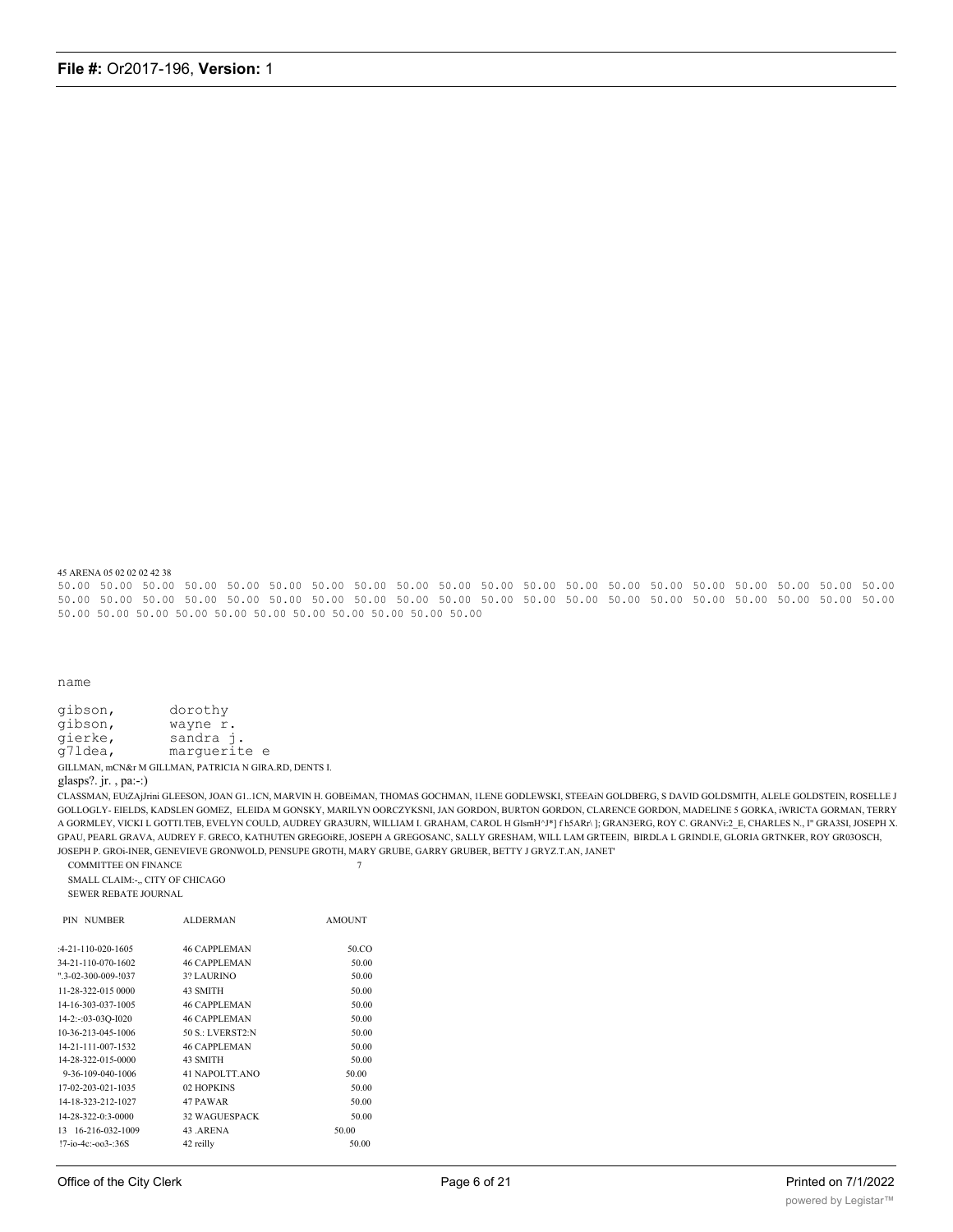45 ARENA 05 02 02 02 42 38

50.00 50.00 50.00 50.00 50.00 50.00 50.00 50.00 50.00 50.00 50.00 50.00 50.00 50.00 50.00 50.00 50.00 50.00 50.00 50.00 50.00 50.00 50.00 50.00 50.00 50.00 50.00 50.00 50.00 50.00 50.00 50.00 50.00 50.00 50.00 50.00 50.00 50.00 50.00 50.00 50.00 50.00 50.00 50.00 50.00 50.00 50.00 50.00 50.00 50.00 50.00

name

gibson, dorothy wayne r. gibson, sandra j. gierke,  $q71$ dea, marguerite e GILLMAN, mCN&r M GILLMAN, PATRICIA N GIRA.RD, DENTS I.

glasps?.jr., pa:-:)

CLASSMAN, EUtZAjJrini GLEESON, JOAN G1..1CN, MARVIN H. GOBEiMAN, THOMAS GOCHMAN, 1LENE GODLEWSKI, STEEAIN GOLDBERG, S DAVID GOLDSMITH, ALELE GOLDSTEIN, ROSELLE J GOLLOGLY-EIELDS, KADSLEN GOMEZ, ELEIDA M GONSKY, MARILYN OORCZYKSNI, JAN GORDON, BURTON GORDON, CLARENCE GORDON, MADELINE 5 GORKA, iWRICTA GORMAN, TERRY A GORMLEY, VICKI L GOTTI.TEB, EVELYN COULD, AUDREY GRA3URN, WILLIAM I. GRAHAM, CAROL H GIsmH^J\*] fh5ARr\]; GRAN3ERG, ROY C. GRANV::2\_E, CHARLES N., I" GRA3SI, JOSEPH X. GPAU, PEARL GRAVA, AUDREY F. GRECO, KATHUTEN GREGOIRE, JOSEPH A GREGOSANC, SALLY GRESHAM, WILL LAM GRTEEIN, BIRDLA L GRINDLE, GLORIA GRTNKER, ROY GR03OSCH, JOSEPH P. GROi-INER, GENEVIEVE GRONWOLD, PENSUPE GROTH, MARY GRUBE, GARRY GRUBER, BETTY J GRYZ.T.AN, JANET'

 $\overline{7}$ 

COMMITTEE ON FINANCE

SMALL CLAIM:-,, CITY OF CHICAGO SEWER REBATE JOURNAL

| <b>ALDERMAN</b>      | <b>AMOUNT</b> |
|----------------------|---------------|
| <b>46 CAPPLEMAN</b>  | 50.CO         |
| <b>46 CAPPLEMAN</b>  | 50.00         |
| 3? LAURINO           | 50.00         |
| 43 SMITH             | 50.00         |
| <b>46 CAPPLEMAN</b>  | 50.00         |
| <b>46 CAPPLEMAN</b>  | 50.00         |
| 50 S.: LVERST2:N     | 50.00         |
| <b>46 CAPPLEMAN</b>  | 50.00         |
| 43 SMITH             | 50.00         |
| 41 NAPOLTT.ANO       | 50.00         |
| 02 HOPKINS           | 50.00         |
| 47 PAWAR             | 50.00         |
| <b>32 WAGUESPACK</b> | 50.00         |
| 43 .ARENA            | 50.00         |
| 42 reilly            | 50.00         |
|                      |               |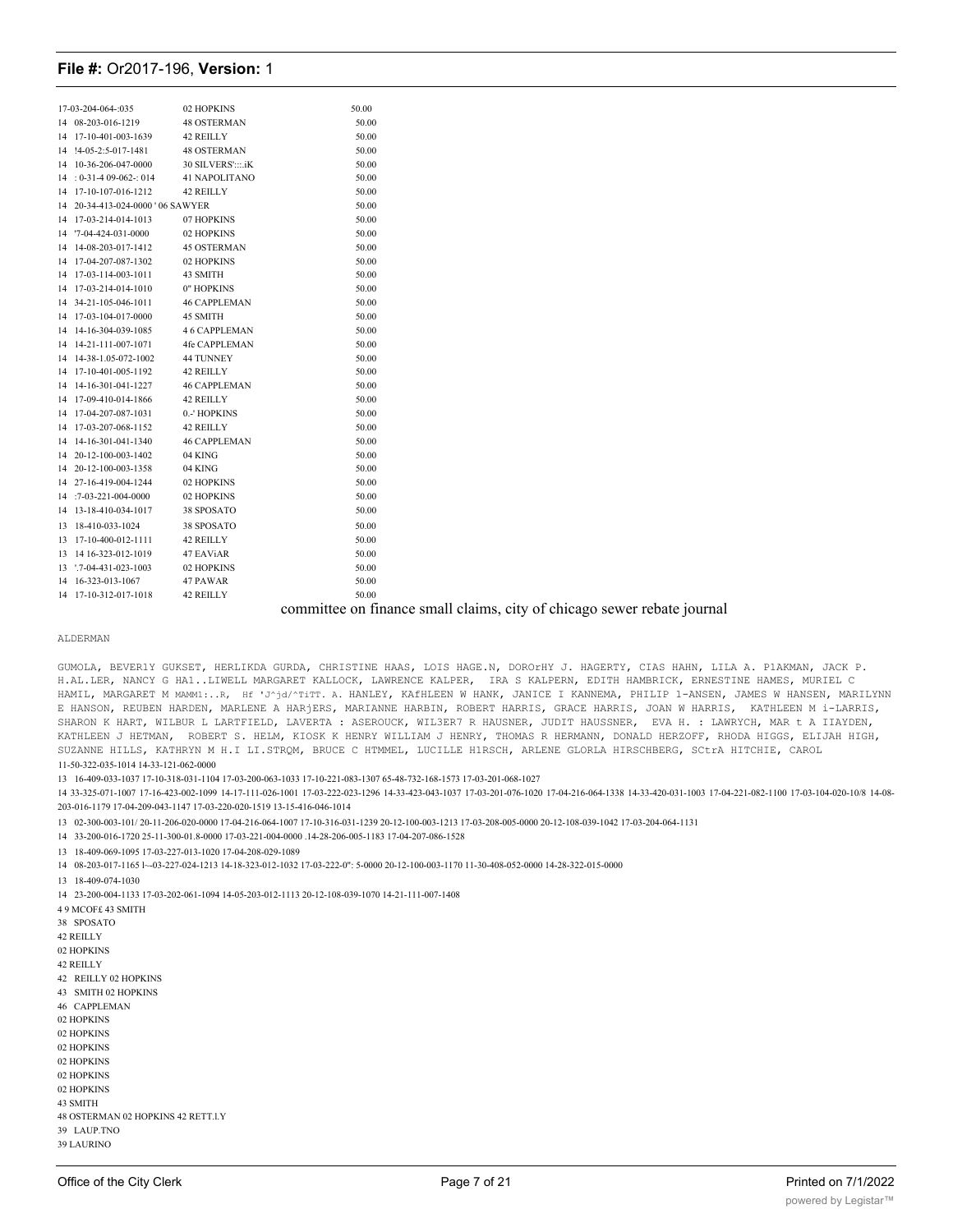| 17-03-204-064-:035                | 02 HOPKINS          | 50.00                                                                   |
|-----------------------------------|---------------------|-------------------------------------------------------------------------|
| 14 08-203-016-1219                | <b>48 OSTERMAN</b>  | 50.00                                                                   |
| 14 17-10-401-003-1639             | 42 REILLY           | 50.00                                                                   |
| 14 !4-05-2:5-017-1481             | <b>48 OSTERMAN</b>  | 50.00                                                                   |
| 14 10-36-206-047-0000             | 30 SILVERS':::.iK   | 50.00                                                                   |
| $14 : 0 - 31 - 409 - 062 - 014$   | 41 NAPOLITANO       | 50.00                                                                   |
| 14 17-10-107-016-1212             | 42 REILLY           | 50.00                                                                   |
| 14 20-34-413-024-0000 ' 06 SAWYER |                     | 50.00                                                                   |
| 14 17-03-214-014-1013             | 07 HOPKINS          | 50.00                                                                   |
| 14 '7-04-424-031-0000             | 02 HOPKINS          | 50.00                                                                   |
| 14 14-08-203-017-1412             | <b>45 OSTERMAN</b>  | 50.00                                                                   |
| 14 17-04-207-087-1302             | 02 HOPKINS          | 50.00                                                                   |
| 14 17-03-114-003-1011             | 43 SMITH            | 50.00                                                                   |
| 14 17-03-214-014-1010             | 0" HOPKINS          | 50.00                                                                   |
| 14 34-21-105-046-1011             | <b>46 CAPPLEMAN</b> | 50.00                                                                   |
| 14 17-03-104-017-0000             | 45 SMITH            | 50.00                                                                   |
| 14 14-16-304-039-1085             | 46 CAPPLEMAN        | 50.00                                                                   |
| 14 14-21-111-007-1071             | 4fe CAPPLEMAN       | 50.00                                                                   |
| 14 14-38-1.05-072-1002            | 44 TUNNEY           | 50.00                                                                   |
| 14 17-10-401-005-1192             | 42 REILLY           | 50.00                                                                   |
| 14 14-16-301-041-1227             | <b>46 CAPPLEMAN</b> | 50.00                                                                   |
| 14 17-09-410-014-1866             | 42 REILLY           | 50.00                                                                   |
| 14 17-04-207-087-1031             | 0.-' HOPKINS        | 50.00                                                                   |
| 14 17-03-207-068-1152             | 42 REILLY           | 50.00                                                                   |
| 14 14-16-301-041-1340             | <b>46 CAPPLEMAN</b> | 50.00                                                                   |
| 14 20-12-100-003-1402             | 04 KING             | 50.00                                                                   |
| 14 20-12-100-003-1358             | 04 KING             | 50.00                                                                   |
| 14 27-16-419-004-1244             | 02 HOPKINS          | 50.00                                                                   |
| 14 :7-03-221-004-0000             | 02 HOPKINS          | 50.00                                                                   |
| 14 13-18-410-034-1017             | 38 SPOSATO          | 50.00                                                                   |
| 13 18-410-033-1024                | 38 SPOSATO          | 50.00                                                                   |
| 13 17-10-400-012-1111             | 42 REILLY           | 50.00                                                                   |
| 13 14 16-323-012-1019             | 47 EAViAR           | 50.00                                                                   |
| 13 '.7-04-431-023-1003            | 02 HOPKINS          | 50.00                                                                   |
| 14 16-323-013-1067                | 47 PAWAR            | 50.00                                                                   |
| 14 17-10-312-017-1018             | 42 REILLY           | 50.00                                                                   |
|                                   |                     | committee on finance small claims, city of chicago sewer rebate journal |
|                                   |                     |                                                                         |

#### ALDERMAN

GUMOLA, BEVER1Y GUKSET, HERLIKDA GURDA, CHRISTINE HAAS, LOIS HAGE.N, DOROrHY J. HAGERTY, CIAS HAHN, LILA A. P1AKMAN, JACK P. H.AL.LER, NANCY G HA1..LIWELL MARGARET KALLOCK, LAWRENCE KALPER, IRA S KALPERN, EDITH HAMBRICK, ERNESTINE HAMES, MURIEL C HAMIL, MARGARET M MAMM1:..R, Hf 'J^jd/^TiTT. A. HANLEY, KAfHLEEN W HANK, JANICE I KANNEMA, PHILIP 1-ANSEN, JAMES W HANSEN, MARILYNN E HANSON, REUBEN HARDEN, MARLENE A HARjERS, MARIANNE HARBIN, ROBERT HARRIS, GRACE HARRIS, JOAN W HARRIS, KATHLEEN M i-LARRIS, SHARON K HART, WILBUR L LARTFIELD, LAVERTA : ASEROUCK, WIL3ER7 R HAUSNER, JUDIT HAUSSNER, EVA H. : LAWRYCH, MAR t A IIAYDEN, KATHLEEN J HETMAN, ROBERT S. HELM, KIOSK K HENRY WILLIAM J HENRY, THOMAS R HERMANN, DONALD HERZOFF, RHODA HIGGS, ELIJAH HIGH, SUZANNE HILLS, KATHRYN M H.I LI.STROM, BRUCE C HTMMEL, LUCILLE HIRSCH, ARLENE GLORLA HIRSCHBERG, SCtrA HITCHIE, CAROL 11-50-322-035-1014 14-33-121-062-0000

13 16-409-033-1037 17-10-318-031-1104 17-03-200-063-1033 17-10-221-083-1307 65-48-732-168-1573 17-03-201-068-1027

14 33-325-071-1007 17-16-423-002-1099 14-17-111-026-1001 17-03-222-023-1296 14-33-423-043-1037 17-03-201-076-1020 17-04-216-064-1338 14-33-420-031-1003 17-04-221-082-1100 17-03-104-020-10/8 14-08-203-016-1179 17-04-209-043-1147 17-03-220-020-1519 13-15-416-046-1014

13 02-300-003-101/20-11-206-020-0000 17-04-216-064-1007 17-10-316-031-1239 20-12-100-003-1213 17-03-208-005-0000 20-12-108-039-1042 17-03-204-064-1131

14 33-200-016-1720 25-11-300-01.8-0000 17-03-221-004-0000 14-28-206-005-1183 17-04-207-086-1528

13 18-409-069-1095 17-03-227-013-1020 17-04-208-029-1089

14 08-203-017-1165 1~-03-227-024-1213 14-18-323-012-1032 17-03-222-0": 5-0000 20-12-100-003-1170 11-30-408-052-0000 14-28-322-015-0000

13 18-409-074-1030

14 23-200-004-1133 17-03-202-061-1094 14-05-203-012-1113 20-12-108-039-1070 14-21-111-007-1408

49 MCOF£ 43 SMITH

38 SPOSATO 42 REILLY 02 HOPKINS 42 REILLY 42 REILLY 02 HOPKINS 43 SMITH 02 HOPKINS 46 CAPPLEMAN 02 HOPKINS 02 HOPKINS 02 HOPKINS 02 HOPKINS 02 HOPKINS 02 HOPKINS **43 SMITH** 48 OSTERMAN 02 HOPKINS 42 RETT.I.Y 39 LAUP.TNO **39 LAURINO**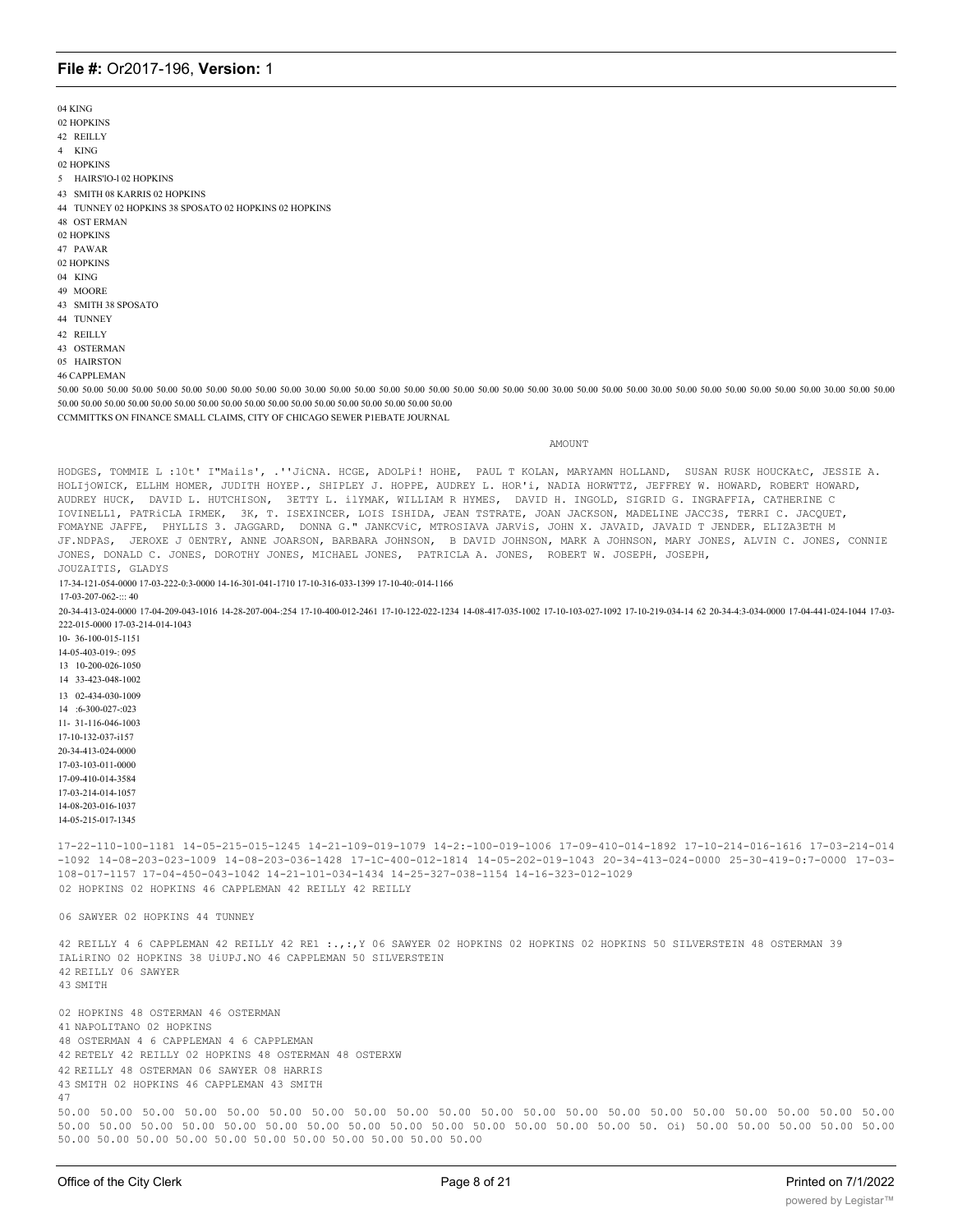04 KING 02 HOPKINS 42 REILLY 4 KING 02 HOPKINS 5 HAIRS'lO-l 02 HOPKINS 43 SMITH 08 KARRIS 02 HOPKINS 44 TUNNEY 02 HOPKINS 38 SPOSATO 02 HOPKINS 02 HOPKINS 48 OST ERMAN 02 HOPKINS 47 PAWAR 02 HOPKINS 04 KING 49 MOORE 43 SMITH 38 SPOSATO 44 TUNNEY 42 REILLY 43 OSTERMAN 05 HAIRSTON 46 CAPPLEMAN 50.00 50.00 50.00 50.00 50.00 50.00 50.00 50.00 50.00 50.00 30.00 50.00 50.00 50.00 50.00 50.00 50.00 50.00 50.00 50.00 30.00 50.00 50.00 50.00 30.00 50.00 50.00 50.00 50.00 50.00 50.00 30.00 50.00 50.00 50.00 50.00 50.00 50.00 50.00 50.00 50.00 50.00 50.00 50.00 50.00 50.00 50.00 50.00 50.00 50.00 50.00 CCMMITTKS ON FINANCE SMALL CLAIMS, CITY OF CHICAGO SEWER P1EBATE JOURNAL AMOUNT HODGES, TOMMIE L :10t' I"Mails', .''JiCNA. HCGE, ADOLPi! HOHE, PAUL T KOLAN, MARYAMN HOLLAND, SUSAN RUSK HOUCKAtC, JESSIE A. HOLIjOWICK, ELLHM HOMER, JUDITH HOYEP., SHIPLEY J. HOPPE, AUDREY L. HOR'i, NADIA HORWTTZ, JEFFREY W. HOWARD, ROBERT HOWARD, AUDREY HUCK, DAVID L. HUTCHISON, 3ETTY L. ilYMAK, WILLIAM R HYMES, DAVID H. INGOLD, SIGRID G. INGRAFFIA, CATHERINE C IOVINELL1, PATRiCLA IRMEK, 3K, T. ISEXINCER, LOIS ISHIDA, JEAN TSTRATE, JOAN JACKSON, MADELINE JACC3S, TERRI C. JACQUET, FOMAYNE JAFFE, PHYLLIS 3. JAGGARD, DONNA G." JANKCViC, MTROSIAVA JARViS, JOHN X. JAVAID, JAVAID T JENDER, ELIZA3ETH M JF.NDPAS, JEROXE J 0ENTRY, ANNE JOARSON, BARBARA JOHNSON, B DAVID JOHNSON, MARK A JOHNSON, MARY JONES, ALVIN C. JONES, CONNIE JONES, DONALD C. JONES, DOROTHY JONES, MICHAEL JONES, PATRICLA A. JONES, ROBERT W. JOSEPH, JOSEPH, JOUZAITIS, GLADYS 17-34-121-054-0000 17-03-222-0:3-0000 14-16-301-041-1710 17-10-316-033-1399 17-10-40:-014-1166  $17-03-207-062-06$ 20-34-413-024-0000 17-04-209-043-1016 14-28-207-004-:254 17-10-400-012-2461 17-10-122-022-1234 14-08-417-035-1002 17-10-103-027-1092 17-10-219-034-14 62 20-34-4:3-034-0000 17-04-441-024-1044 17-03- 222-015-0000 17-03-214-014-1043 10- 36-100-015-1151 14-05-403-019-: 095 13 10-200-026-1050 14 33-423-048-1002 13 02-434-030-1009 14 :6-300-027-:023 11- 31-116-046-1003 17-10-132-037-i157 20-34-413-024-0000 17-03-103-011-0000 17-09-410-014-3584 17-03-214-014-1057 14-08-203-016-1037 14-05-215-017-1345 17-22-110-100-1181 14-05-215-015-1245 14-21-109-019-1079 14-2:-100-019-1006 17-09-410-014-1892 17-10-214-016-1616 17-03-214-014 -1092 14-08-203-023-1009 14-08-203-036-1428 17-1C-400-012-1814 14-05-202-019-1043 20-34-413-024-0000 25-30-419-0:7-0000 17-03- 108-017-1157 17-04-450-043-1042 14-21-101-034-1434 14-25-327-038-1154 14-16-323-012-1029 02 HOPKINS 02 HOPKINS 46 CAPPLEMAN 42 REILLY 42 REILLY 06 SAWYER 02 HOPKINS 44 TUNNEY 42 REILLY 4 6 CAPPLEMAN 42 REILLY 42 RE1 :.,:,Y 06 SAWYER 02 HOPKINS 02 HOPKINS 02 HOPKINS 50 SILVERSTEIN 48 OSTERMAN 39 IALiRINO 02 HOPKINS 38 UiUPJ.NO 46 CAPPLEMAN 50 SILVERSTEIN 42 REILLY 06 SAWYER 43 SMITH 02 HOPKINS 48 OSTERMAN 46 OSTERMAN 41 NAPOLITANO 02 HOPKINS 48 OSTERMAN 4 6 CAPPLEMAN 4 6 CAPPLEMAN 42 RETELY 42 REILLY 02 HOPKINS 48 OSTERMAN 48 OSTERXW 42 REILLY 48 OSTERMAN 06 SAWYER 08 HARRIS 43 SMITH 02 HOPKINS 46 CAPPLEMAN 43 SMITH 47 50.00 50.00 50.00 50.00 50.00 50.00 50.00 50.00 50.00 50.00 50.00 50.00 50.00 50.00 50.00 50.00 50.00 50.00 50.00 50.00 50.00 50.00 50.00 50.00 50.00 50.00 50.00 50.00 50.00 50.00 50.00 50.00 50.00 50.00 50. Oi) 50.00 50.00 50.00 50.00 50.00 50.00 50.00 50.00 50.00 50.00 50.00 50.00 50.00 50.00 50.00 50.00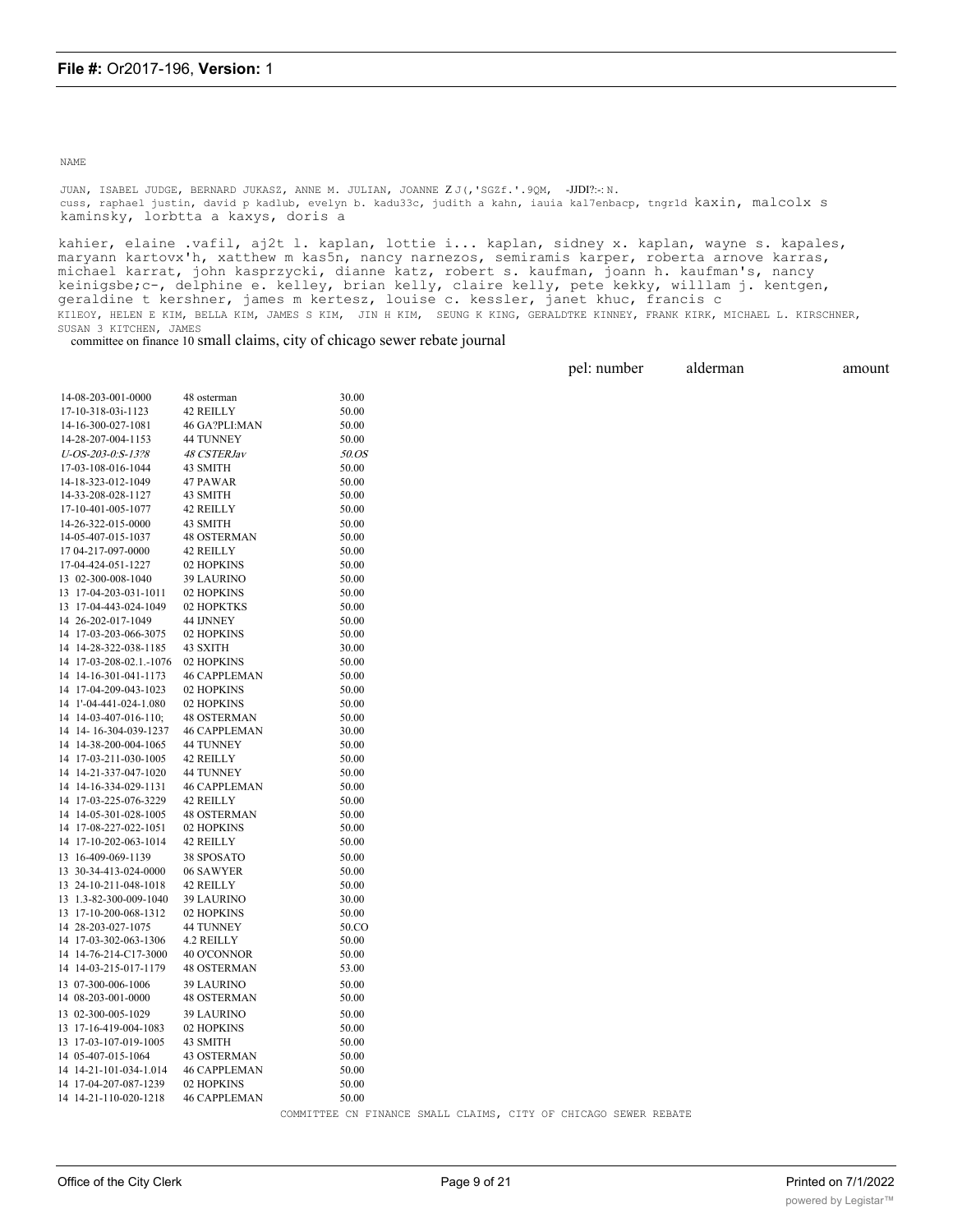#### NAME

JUAN, ISABEL JUDGE, BERNARD JUKASZ, ANNE M. JULIAN, JOANNE Z J(,'SGZf.'.9QM, -JJDI?:-: N. cuss, raphael justin, david p kadlub, evelyn b. kadu33c, judith a kahn, iauia kal7enbacp, tngr1d kaxin, malcolx s kaminsky, lorbtta a kaxys, doris a

kahier, elaine .vafil, aj2t l. kaplan, lottie i... kaplan, sidney x. kaplan, wayne s. kapales, maryann kartovx'h, xatthew m kas5n, nancy narnezos, semiramis karper, roberta arnove karras, michael karrat, john kasprzycki, dianne katz, robert s. kaufman, joann h. kaufman's, nancy keinigsbe;c-, delphine e. kelley, brian kelly, claire kelly, pete kekky, willlam j. kentgen, geraldine t kershner, james m kertesz, louise c. kessler, janet khuc, francis c KIlEOY, HELEN E KIM, BELLA KIM, JAMES S KIM, JIN H KIM, SEUNG K KING, GERALDTKE KINNEY, FRANK KIRK, MICHAEL L. KIRSCHNER, SUSAN 3 KITCHEN, JAMES

committee on finance 10 small claims, city of chicago sewer rebate journal

|                         |                     |                                                                 | pel: number | alderman | amount |
|-------------------------|---------------------|-----------------------------------------------------------------|-------------|----------|--------|
|                         |                     |                                                                 |             |          |        |
| 14-08-203-001-0000      | 48 osterman         | 30.00                                                           |             |          |        |
| 17-10-318-03i-1123      | 42 REILLY           | 50.00                                                           |             |          |        |
| 14-16-300-027-1081      | 46 GA?PLI:MAN       | 50.00                                                           |             |          |        |
| 14-28-207-004-1153      | 44 TUNNEY           | 50.00                                                           |             |          |        |
| U-OS-203-0:S-13?8       | 48 CSTERJav         | 50.OS                                                           |             |          |        |
| 17-03-108-016-1044      | 43 SMITH            | 50.00                                                           |             |          |        |
| 14-18-323-012-1049      | 47 PAWAR            | 50.00                                                           |             |          |        |
| 14-33-208-028-1127      | 43 SMITH            | 50.00                                                           |             |          |        |
| 17-10-401-005-1077      | 42 REILLY           | 50.00                                                           |             |          |        |
| 14-26-322-015-0000      | 43 SMITH            | 50.00                                                           |             |          |        |
| 14-05-407-015-1037      | <b>48 OSTERMAN</b>  | 50.00                                                           |             |          |        |
| 17 04-217-097-0000      | 42 REILLY           | 50.00                                                           |             |          |        |
| 17-04-424-051-1227      | 02 HOPKINS          | 50.00                                                           |             |          |        |
| 13 02-300-008-1040      | <b>39 LAURINO</b>   | 50.00                                                           |             |          |        |
| 13 17-04-203-031-1011   | 02 HOPKINS          | 50.00                                                           |             |          |        |
| 13 17-04-443-024-1049   | 02 HOPKTKS          | 50.00                                                           |             |          |        |
| 14 26-202-017-1049      | 44 IJNNEY           | 50.00                                                           |             |          |        |
| 14 17-03-203-066-3075   | 02 HOPKINS          | 50.00                                                           |             |          |        |
| 14 14-28-322-038-1185   | 43 SXITH            | 30.00                                                           |             |          |        |
| 14 17-03-208-02.1.-1076 | 02 HOPKINS          | 50.00                                                           |             |          |        |
| 14 14-16-301-041-1173   | <b>46 CAPPLEMAN</b> | 50.00                                                           |             |          |        |
| 14 17-04-209-043-1023   | 02 HOPKINS          | 50.00                                                           |             |          |        |
| 14 1'-04-441-024-1.080  | 02 HOPKINS          | 50.00                                                           |             |          |        |
| 14 14-03-407-016-110;   | <b>48 OSTERMAN</b>  | 50.00                                                           |             |          |        |
| 14 14-16-304-039-1237   | <b>46 CAPPLEMAN</b> | 30.00                                                           |             |          |        |
| 14 14-38-200-004-1065   | 44 TUNNEY           | 50.00                                                           |             |          |        |
| 14 17-03-211-030-1005   | 42 REILLY           | 50.00                                                           |             |          |        |
| 14 14-21-337-047-1020   | 44 TUNNEY           | 50.00                                                           |             |          |        |
| 14 14-16-334-029-1131   | <b>46 CAPPLEMAN</b> | 50.00                                                           |             |          |        |
| 14 17-03-225-076-3229   | 42 REILLY           | 50.00                                                           |             |          |        |
| 14 14-05-301-028-1005   | 48 OSTERMAN         | 50.00                                                           |             |          |        |
| 14 17-08-227-022-1051   | 02 HOPKINS          | 50.00                                                           |             |          |        |
| 14 17-10-202-063-1014   | 42 REILLY           | 50.00                                                           |             |          |        |
| 13 16-409-069-1139      | 38 SPOSATO          | 50.00                                                           |             |          |        |
| 13 30-34-413-024-0000   | 06 SAWYER           | 50.00                                                           |             |          |        |
| 13 24-10-211-048-1018   | 42 REILLY           | 50.00                                                           |             |          |        |
| 13 1.3-82-300-009-1040  | <b>39 LAURINO</b>   | 30.00                                                           |             |          |        |
| 13 17-10-200-068-1312   | 02 HOPKINS          | 50.00                                                           |             |          |        |
| 14 28-203-027-1075      | 44 TUNNEY           | 50.CO                                                           |             |          |        |
| 14 17-03-302-063-1306   | 4.2 REILLY          | 50.00                                                           |             |          |        |
| 14 14-76-214-C17-3000   | 40 O'CONNOR         | 50.00                                                           |             |          |        |
| 14 14-03-215-017-1179   | <b>48 OSTERMAN</b>  | 53.00                                                           |             |          |        |
| 13 07-300-006-1006      | <b>39 LAURINO</b>   | 50.00                                                           |             |          |        |
| 14 08-203-001-0000      | <b>48 OSTERMAN</b>  | 50.00                                                           |             |          |        |
| 13 02-300-005-1029      | <b>39 LAURINO</b>   | 50.00                                                           |             |          |        |
| 13 17-16-419-004-1083   | 02 HOPKINS          | 50.00                                                           |             |          |        |
| 13 17-03-107-019-1005   | 43 SMITH            | 50.00                                                           |             |          |        |
| 14 05-407-015-1064      | <b>43 OSTERMAN</b>  | 50.00                                                           |             |          |        |
| 14 14-21-101-034-1.014  | <b>46 CAPPLEMAN</b> | 50.00                                                           |             |          |        |
| 14 17-04-207-087-1239   | 02 HOPKINS          | 50.00                                                           |             |          |        |
| 14 14-21-110-020-1218   | <b>46 CAPPLEMAN</b> | 50.00                                                           |             |          |        |
|                         |                     | COMMITTEE CN FINANCE SMALL CLAIMS, CITY OF CHICAGO SEWER REBATE |             |          |        |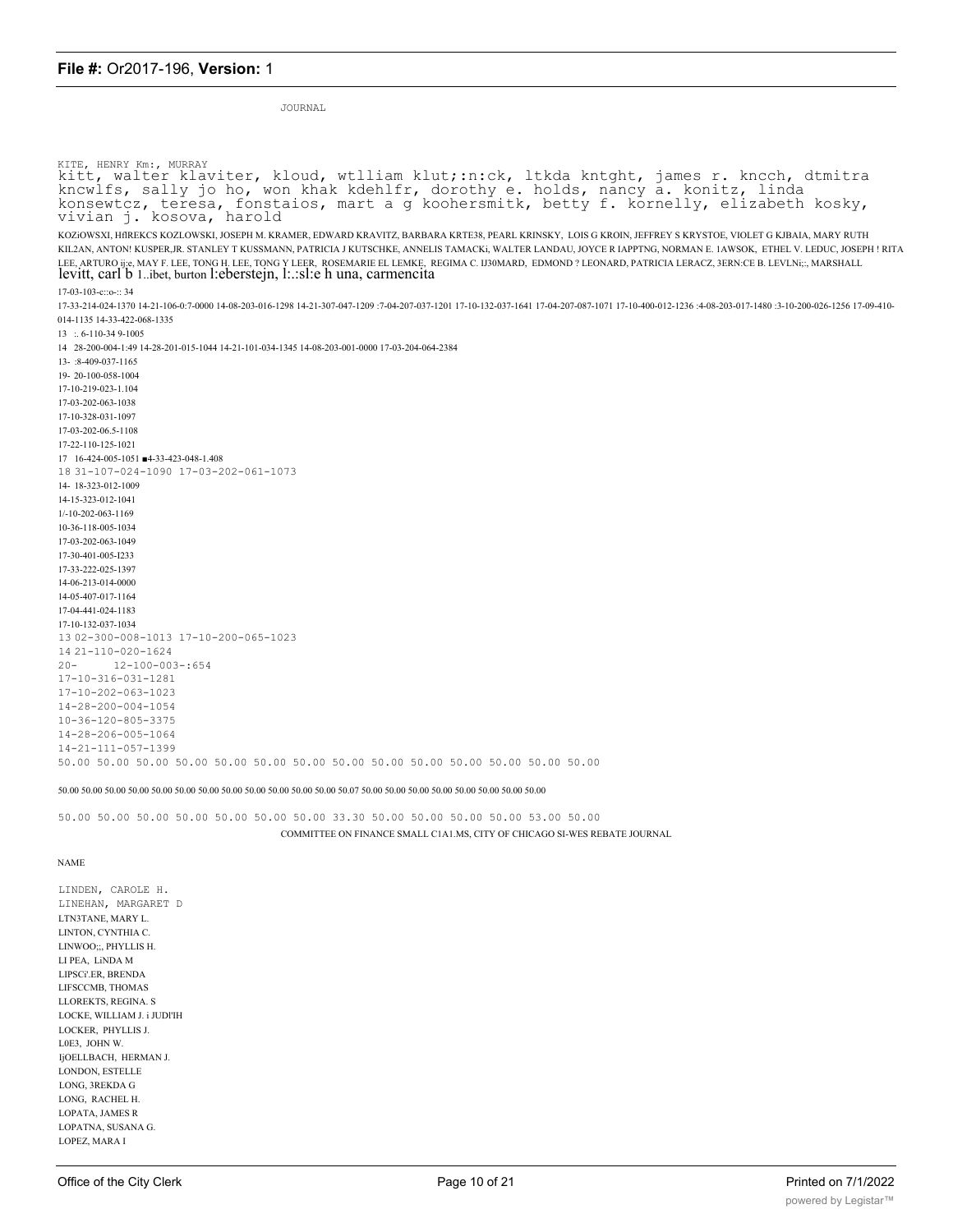JOURNAL

```
KITE, HENRY Km:, MURRAY
kitt, walter klaviter, kloud, wtlliam klut;:n:ck, ltkda kntght, james r. kncch, dtmitra<br>kncwlfs, sally jo ho, won khak kdehlfr, dorothy e. holds, nancy a. konitz, linda<br>konsewtcz, teresa, fonstaios, mart a g koohersmitk, b
KOZiOWSXI, HfIREKCS KOZLOWSKI, JOSEPH M. KRAMER, EDWARD KRAVITZ, BARBARA KRTE38, PEARL KRINSKY, LOIS G KROIN, JEFFREY S KRYSTOE, VIOLET G KJBAIA, MARY RUTH
KIL2AN, ANTON! KUSPER,JR. STANLEY T KUSSMANN, PATRICIA J KUTSCHKE, ANNELIS TAMACKi, WALTER LANDAU, JOYCE R IAPPTNG, NORMAN E. 1AWSOK, ETHEL V. LEDUC, JOSEPH ! RITA
LEE, ARTURO ij;e, MAY F. LEE, TONG H. LEE, TONG Y LEER, ROSEMARIE EL LEMKE, REGIMA C. IJ30MARD, EDMOND ? LEONARD, PATRICIA LERACZ, 3ERN:CE B. LEVLNi;;, MARSHALL
levitt, carl b 1. ibet, burton l: eberstejn, l: .: sl: e h una, carmencita
17-03-103-c::o-::3417-33-214-024-1370 14-21-106-0;7-0000 14-08-203-016-1298 14-21-307-047-1209 ;7-04-207-037-1201 17-10-132-037-1641 17-04-207-087-1071 17-10-400-012-1236 ;4-08-203-017-1480 ;3-10-200-026-1256 17-09-410-
014-1135 14-33-422-068-1335
13 : .6 - 110 - 349 - 100514 28-200-004-1:49 14-28-201-015-1044 14-21-101-034-1345 14-08-203-001-0000 17-03-204-064-2384
13- :8-409-037-1165
19-20-100-058-1004
17-10-219-023-1.104
17-03-202-063-1038
17-10-328-031-1097
17-03-202-06.5-1108
17-22-110-125-1021
17 16-424-005-1051 4-33-423-048-1.408
18 31-107-024-1090 17-03-202-061-1073
14-18-323-012-1009
14-15-323-012-1041
1/-10-202-063-116910-36-118-005-1034
17-03-202-063-1049
17-30-401-005-I233
17-33-222-025-1397
14-06-213-014-0000
14-05-407-017-1164
17-04-441-024-1183
17-10-132-037-1034
13 02-300-008-1013 17-10-200-065-1023
14 21-110-020-1624
           12 - 100 - 003 - : 65420 -17 - 10 - 316 - 031 - 128117 - 10 - 202 - 063 - 102314 - 28 - 200 - 004 - 105410 - 36 - 120 - 805 - 337514 - 28 - 206 - 005 - 106414 - 21 - 111 - 057 - 139950.00 50.00 50.00 50.00 50.00 50.00 50.00 50.00 50.00 50.00 50.00 50.00 50.00 50.00
```
50.00 50.00 50.00 50.00 50.00 50.00 50.00 50.00 50.00 50.00 50.00 50.00 50.07 50.00 50.00 50.00 50.00 50.00 50.00 50.00 50.00 50.00 50.00 50.00 50.00 50.00 50.00 50.00 50.00 50.00 50.00 50.00 50.00 50.00 50.00 50.00 50.00 5

50.00 50.00 50.00 50.00 50.00 50.00 50.00 33.30 50.00 50.00 50.00 50.00 53.00 50.00 COMMITTEE ON FINANCE SMALL C1A1.MS, CITY OF CHICAGO SI-WES REBATE JOURNAL

**NAME** 

LINDEN, CAROLE H. LINEHAN, MARGARET D LTN3TANE, MARY L. LINTON, CYNTHIA C. LINWOO::. PHYLLIS H LI PEA, LINDA M LIPSCi'.ER. BRENDA LIFSCCMB, THOMAS LLOREKTS, REGINA. S LOCKE, WILLIAM J. i JUDI'IH LOCKER, PHYLLIS J. LOE3, JOHN W. **IiOELLBACH. HERMAN J.** LONDON, ESTELLE LONG, 3REKDA G LONG, RACHEL H. LOPATA, JAMES R LOPATNA, SUSANA G. LOPEZ, MARA I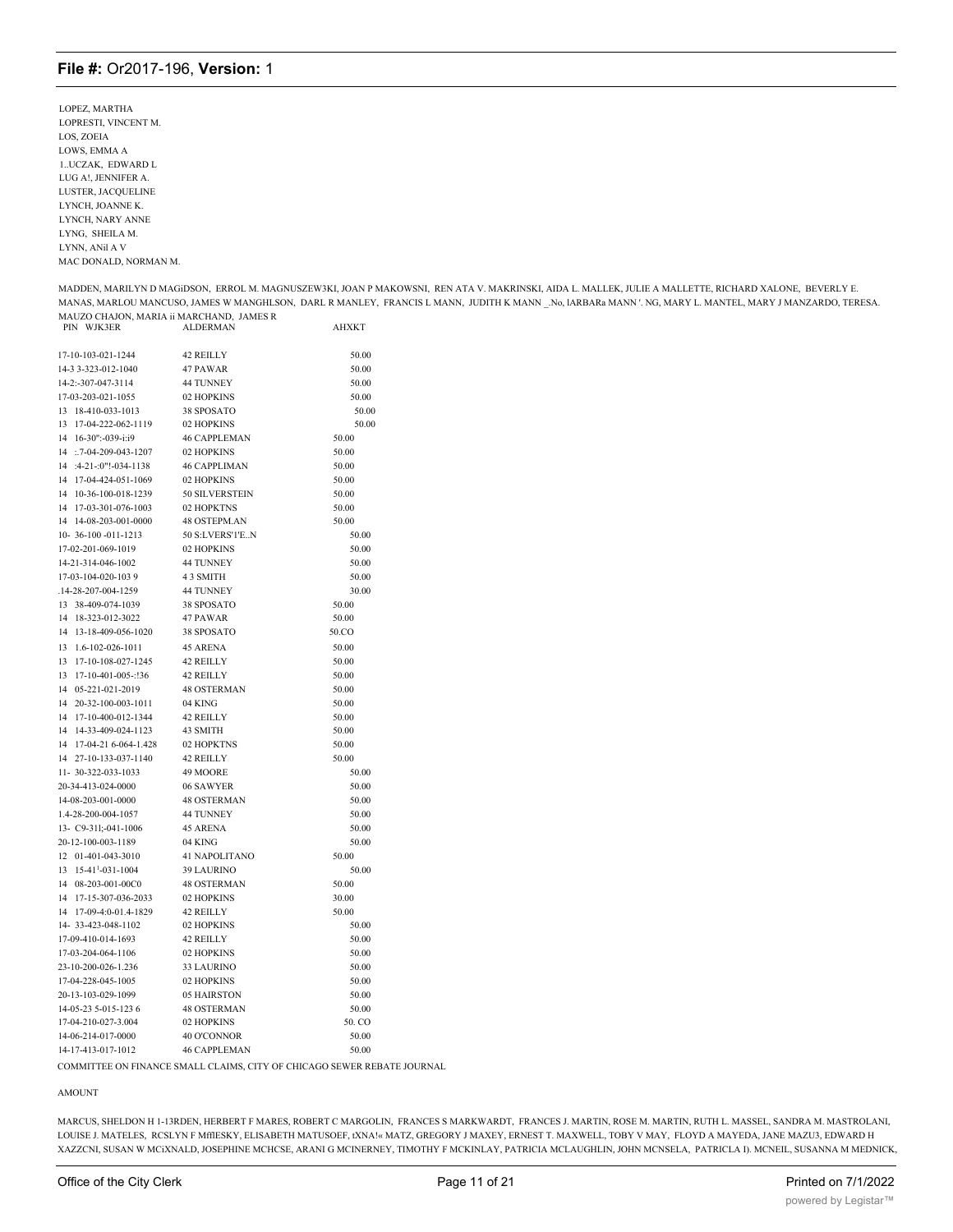**LOPEZ MARTHA** LOPRESTI, VINCENT M. LOS, ZOEIA LOWS, EMMA A 1..UCZAK, EDWARD L LUG A!. JENNIFER A. LUSTER, JACQUELINE LYNCH, JOANNE K. **LYNCH NARY ANNE** LYNG, SHEILA M. LYNN, ANil A V MAC DONALD, NORMAN M.

MADDEN, MARILYN D MAGIDSON, ERROL M. MAGNUSZEW3KI, JOAN P MAKOWSNI, REN ATA V. MAKRINSKI, AIDA L. MALLEK, JULIE A MALLETTE, RICHARD XALONE, BEVERLY E. MANAS, MARLOU MANCUSO, JAMES W MANGHLSON, DARL R MANLEY, FRANCIS L MANN, JUDITH K MANN \_.No, lARBARa MANN '. NG, MARY L. MANTEL, MARY J MANZARDO, TERESA. MAUZO CHAJON, MARIA ii MARCHAND, JAMES R **AHXKT** PIN WJK3ER **ALDERMAN** 

| 17-10-103-021-1244                 | 42 REILLY           | 50.00  |
|------------------------------------|---------------------|--------|
| 14-3 3-323-012-1040                | 47 PAWAR            | 50.00  |
| 14-2:-307-047-3114                 | 44 TUNNEY           | 50.00  |
| 17-03-203-021-1055                 | 02 HOPKINS          | 50.00  |
| 13 18-410-033-1013                 | 38 SPOSATO          | 50.00  |
| 13<br>17-04-222-062-1119           | 02 HOPKINS          | 50.00  |
| 14 16-30":-039-i:i9                | <b>46 CAPPLEMAN</b> | 50.00  |
| 14 :.7-04-209-043-1207             | 02 HOPKINS          | 50.00  |
| $:4-21$ $:0$ "! $-034-1138$<br>14  | <b>46 CAPPLIMAN</b> | 50.00  |
| 14<br>17-04-424-051-1069           | 02 HOPKINS          | 50.00  |
| 14<br>10-36-100-018-1239           | 50 SILVERSTEIN      | 50.00  |
| 14 17-03-301-076-1003              | 02 HOPKTNS          | 50.00  |
| 14-08-203-001-0000<br>14           | 48 OSTEPM.AN        | 50.00  |
| 10-36-100 -011-1213                | 50 S:LVERS'1'EN     | 50.00  |
| 17-02-201-069-1019                 | 02 HOPKINS          | 50.00  |
| 14-21-314-046-1002                 | <b>44 TUNNEY</b>    | 50.00  |
| 17-03-104-020-1039                 | 4 3 SMITH           | 50.00  |
| .14-28-207-004-1259                | 44 TUNNEY           | 30.00  |
| 13 38-409-074-1039                 | 38 SPOSATO          | 50.00  |
| 18-323-012-3022<br>14              | 47 PAWAR            | 50.00  |
| 14<br>13-18-409-056-1020           | 38 SPOSATO          | 50.CO  |
| 1.6-102-026-1011<br>13             | <b>45 ARENA</b>     | 50.00  |
| 17-10-108-027-1245<br>13           | 42 REILLY           | 50.00  |
| 13<br>17-10-401-005-:!36           | 42 REILLY           | 50.00  |
| 05-221-021-2019<br>14              | <b>48 OSTERMAN</b>  | 50.00  |
| 20-32-100-003-1011<br>14           | 04 KING             | 50.00  |
| 17-10-400-012-1344<br>14           | 42 REILLY           | 50.00  |
| 14<br>14-33-409-024-1123           | 43 SMITH            | 50.00  |
| 14<br>17-04-21 6-064-1.428         | 02 HOPKTNS          | 50.00  |
| 14<br>27-10-133-037-1140           | 42 REILLY           | 50.00  |
| 11-30-322-033-1033                 | 49 MOORE            | 50.00  |
| 20-34-413-024-0000                 | 06 SAWYER           | 50.00  |
| 14-08-203-001-0000                 | <b>48 OSTERMAN</b>  | 50.00  |
| 1.4-28-200-004-1057                | <b>44 TUNNEY</b>    | 50.00  |
| 13- C9-311:-041-1006               | <b>45 ARENA</b>     | 50.00  |
|                                    |                     |        |
| 20-12-100-003-1189                 | 04 KING             | 50.00  |
| 12 01-401-043-3010                 | 41 NAPOLITANO       | 50.00  |
| 15-41 <sup>1</sup> -031-1004<br>13 | <b>39 LAURINO</b>   | 50.00  |
| 14<br>08-203-001-00C0              | <b>48 OSTERMAN</b>  | 50.00  |
| 14<br>17-15-307-036-2033           | 02 HOPKINS          | 30.00  |
| 17-09-4:0-01.4-1829<br>14          | 42 REILLY           | 50.00  |
| 14-33-423-048-1102                 | 02 HOPKINS          | 50.00  |
| 17-09-410-014-1693                 | 42 REILLY           | 50.00  |
| 17-03-204-064-1106                 | 02 HOPKINS          | 50.00  |
| 23-10-200-026-1.236                | <b>33 LAURINO</b>   | 50.00  |
| 17-04-228-045-1005                 | 02 HOPKINS          | 50.00  |
| 20-13-103-029-1099                 | 05 HAIRSTON         | 50.00  |
| 14-05-23 5-015-123 6               | <b>48 OSTERMAN</b>  | 50.00  |
| 17-04-210-027-3.004                | 02 HOPKINS          | 50. CO |
| 14-06-214-017-0000                 | 40 O'CONNOR         | 50.00  |
| 14-17-413-017-1012                 | <b>46 CAPPLEMAN</b> | 50.00  |

COMMITTEE ON FINANCE SMALL CLAIMS, CITY OF CHICAGO SEWER REBATE JOURNAL

#### **AMOUNT**

MARCUS, SHELDON H 1-13RDEN, HERBERT F MARES, ROBERT C MARGOLIN, FRANCES S MARKWARDT, FRANCES J. MARTIN, ROSE M. MARTIN, RUTH L. MASSEL, SANDRA M. MASTROLANI, LOUISE J. MATELES, RCSLYN F MfflESKY, ELISABETH MATUSOEF, tXNA!« MATZ, GREGORY J MAXEY, ERNEST T. MAXWELL, TOBY V MAY, FLOYD A MAYEDA, JANE MAZU3, EDWARD H XAZZCNI, SUSAN W MCiXNALD, JOSEPHINE MCHCSE, ARANI G MCINERNEY, TIMOTHY F MCKINLAY, PATRICIA MCLAUGHLIN, JOHN MCNSELA, PATRICLA I). MCNEIL, SUSANNA M MEDNICK,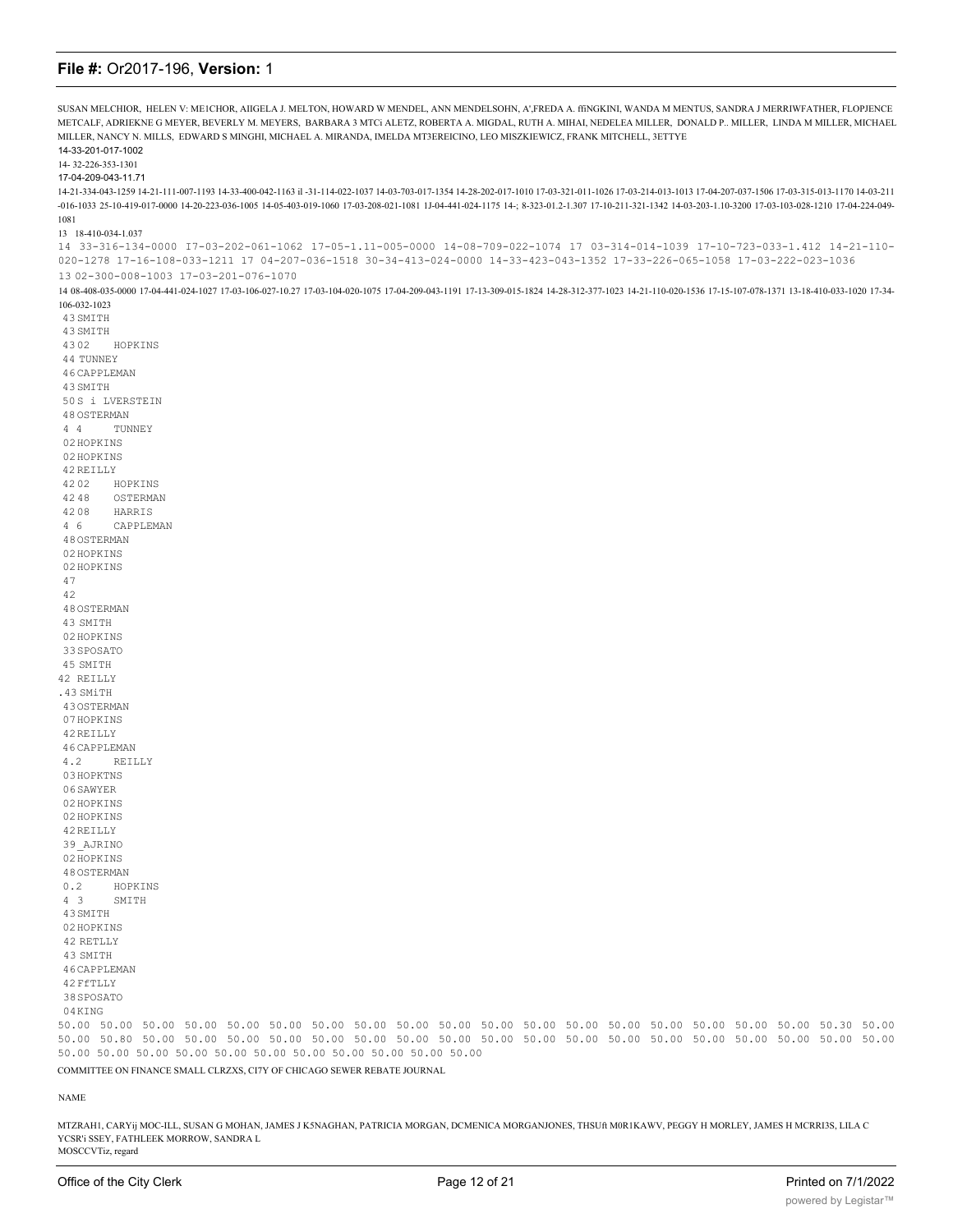| SUSAN MELCHIOR, HELEN V: ME1CHOR, AIIGELA J. MELTON, HOWARD W MENDEL, ANN MENDELSOHN, A',FREDA A. ffNGKINI, WANDA M MENTUS, SANDRA J MERRIWFATHER, FLOPJENCE                                                                                                                               |
|--------------------------------------------------------------------------------------------------------------------------------------------------------------------------------------------------------------------------------------------------------------------------------------------|
| METCALF, ADRIEKNE G MEYER, BEVERLY M. MEYERS, BARBARA 3 MTCi ALETZ, ROBERTA A. MIGDAL, RUTH A. MIHAI, NEDELEA MILLER, DONALD P MILLER, LINDA M MILLER, MICHAEL<br>MILLER, NANCY N. MILLS, EDWARD S MINGHI, MICHAEL A. MIRANDA, IMELDA MT3EREICINO, LEO MISZKIEWICZ, FRANK MITCHELL, 3ETTYE |
| 14-33-201-017-1002                                                                                                                                                                                                                                                                         |
| 14-32-226-353-1301<br>17-04-209-043-11.71                                                                                                                                                                                                                                                  |
| 14-03-1170 14-03-1259 14-21-111-007-1193 14-33-400-042-1163 il -31-114-022-1037 14-03-703-017-1354 14-28-202-017-1010 17-03-321-011-1026 17-03-214-013-1013 17-04-207-037-1506 17-03-315-013-1170 14-03-211                                                                                |
| -016-1033 25-10-419-017-0000 14-20-223-036-1005 14-05-403-019-1060 17-03-208-021-1081 1J-04-441-024-1175 14-; 8-323-01.2-1.307 17-10-211-321-1342 14-03-203-1.10-3200 17-03-103-028-1210 17-04-224-049-<br>1081                                                                            |
| 13 18-410-034-1.037                                                                                                                                                                                                                                                                        |
| 14 33-316-134-0000 17-03-202-061-1062 17-05-1.11-005-0000 14-08-709-022-1074 17 03-314-014-1039 17-10-723-033-1.412 14-21-110-<br>020-1278 17-16-108-033-1211 17 04-207-036-1518 30-34-413-024-0000 14-33-423-043-1352 17-33-226-065-1058 17-03-222-023-1036                               |
| 13 02-300-008-1003 17-03-201-076-1070                                                                                                                                                                                                                                                      |
| 14 08-408-035-0000 17-04-441-024-1027 17-03-106-027-10.27 17-03-104-020-1075 17-04-209-043-1191 17-13-309-015-1824 14-28-312-377-1023 14-21-110-020-1536 17-15-107-078-1371 13-18-410-033-1020 17-34-<br>106-032-1023                                                                      |
| 43 SMITH<br>43 SMITH                                                                                                                                                                                                                                                                       |
| 4302<br>HOPKINS                                                                                                                                                                                                                                                                            |
| 44 TUNNEY                                                                                                                                                                                                                                                                                  |
| 46 CAPPLEMAN                                                                                                                                                                                                                                                                               |
| 43 SMITH                                                                                                                                                                                                                                                                                   |
| 50S i LVERSTEIN                                                                                                                                                                                                                                                                            |
| 48 OSTERMAN<br>44<br>TUNNEY                                                                                                                                                                                                                                                                |
| 02 HOPKINS                                                                                                                                                                                                                                                                                 |
| 02 HOPKINS                                                                                                                                                                                                                                                                                 |
| 42 REILLY                                                                                                                                                                                                                                                                                  |
| 4202<br>HOPKINS<br>4248<br>OSTERMAN                                                                                                                                                                                                                                                        |
| 4208<br>HARRIS                                                                                                                                                                                                                                                                             |
| $4\overline{6}$<br>CAPPLEMAN                                                                                                                                                                                                                                                               |
| 48 OSTERMAN                                                                                                                                                                                                                                                                                |
| 02 HOPKINS                                                                                                                                                                                                                                                                                 |
| 02 HOPKINS<br>47                                                                                                                                                                                                                                                                           |
| 42                                                                                                                                                                                                                                                                                         |
| 48 OSTERMAN                                                                                                                                                                                                                                                                                |
| 43 SMITH                                                                                                                                                                                                                                                                                   |
| 02 HOPKINS                                                                                                                                                                                                                                                                                 |
| 33 SPOSATO<br>45 SMITH                                                                                                                                                                                                                                                                     |
| 42 REILLY                                                                                                                                                                                                                                                                                  |
| .43 SMiTH                                                                                                                                                                                                                                                                                  |
| 430STERMAN                                                                                                                                                                                                                                                                                 |
| 07HOPKINS                                                                                                                                                                                                                                                                                  |
| 42 REILLY<br>46 CAPPLEMAN                                                                                                                                                                                                                                                                  |
| 4.2<br>REILLY                                                                                                                                                                                                                                                                              |
| 03 HOPKTNS                                                                                                                                                                                                                                                                                 |
| 06 SAWYER                                                                                                                                                                                                                                                                                  |
| 02 HOPKINS<br>02 HOPKINS                                                                                                                                                                                                                                                                   |
| 42 REILLY                                                                                                                                                                                                                                                                                  |
| 39 AJRINO                                                                                                                                                                                                                                                                                  |
| 02 HOPKINS                                                                                                                                                                                                                                                                                 |
| 48 OSTERMAN<br>0.2<br>HOPKINS                                                                                                                                                                                                                                                              |
| $4 \quad 3$<br>SMITH                                                                                                                                                                                                                                                                       |
| 43 SMITH                                                                                                                                                                                                                                                                                   |
| 02 HOPKINS                                                                                                                                                                                                                                                                                 |
| 42 RETLLY                                                                                                                                                                                                                                                                                  |
| 43 SMITH<br>46 CAPPLEMAN                                                                                                                                                                                                                                                                   |
| 42 FfTLLY                                                                                                                                                                                                                                                                                  |
| 38 SPOSATO                                                                                                                                                                                                                                                                                 |
| 04KING                                                                                                                                                                                                                                                                                     |
| 50.00 50.00 50.00 50.00 50.00 50.00 50.00 50.00 50.00 50.00 50.00 50.00 50.00 50.00 50.00 50.00 50.00 50.00 50.30 50.00<br>50.00 50.80 50.00 50.00 50.00 50.00 50.00 50.00 50.00 50.00 50.00 50.00 50.00 50.00 50.00 50.00 50.00 50.00 50.00 50.00                                         |
| 50.00 50.00 50.00 50.00 50.00 50.00 50.00 50.00 50.00 50.00 50.00                                                                                                                                                                                                                          |
| COMMITTEE ON FINANCE SMALL CLRZXS, CI7Y OF CHICAGO SEWER REBATE JOURNAL                                                                                                                                                                                                                    |

### $\ensuremath{\mathsf{NAME}}$

MTZRAH1, CARYij MOC-ILL, SUSAN G MOHAN, JAMES J KSNAGHAN, PATRICIA MORGAN, DCMENICA MORGANJONES, THSUft M0R1KAWV, PEGGY H MORLEY, JAMES H MCRRI3S, LILA C YCSR'i SSEY, FATHLEEK MORROW, SANDRA L MOSCCVTiz, regard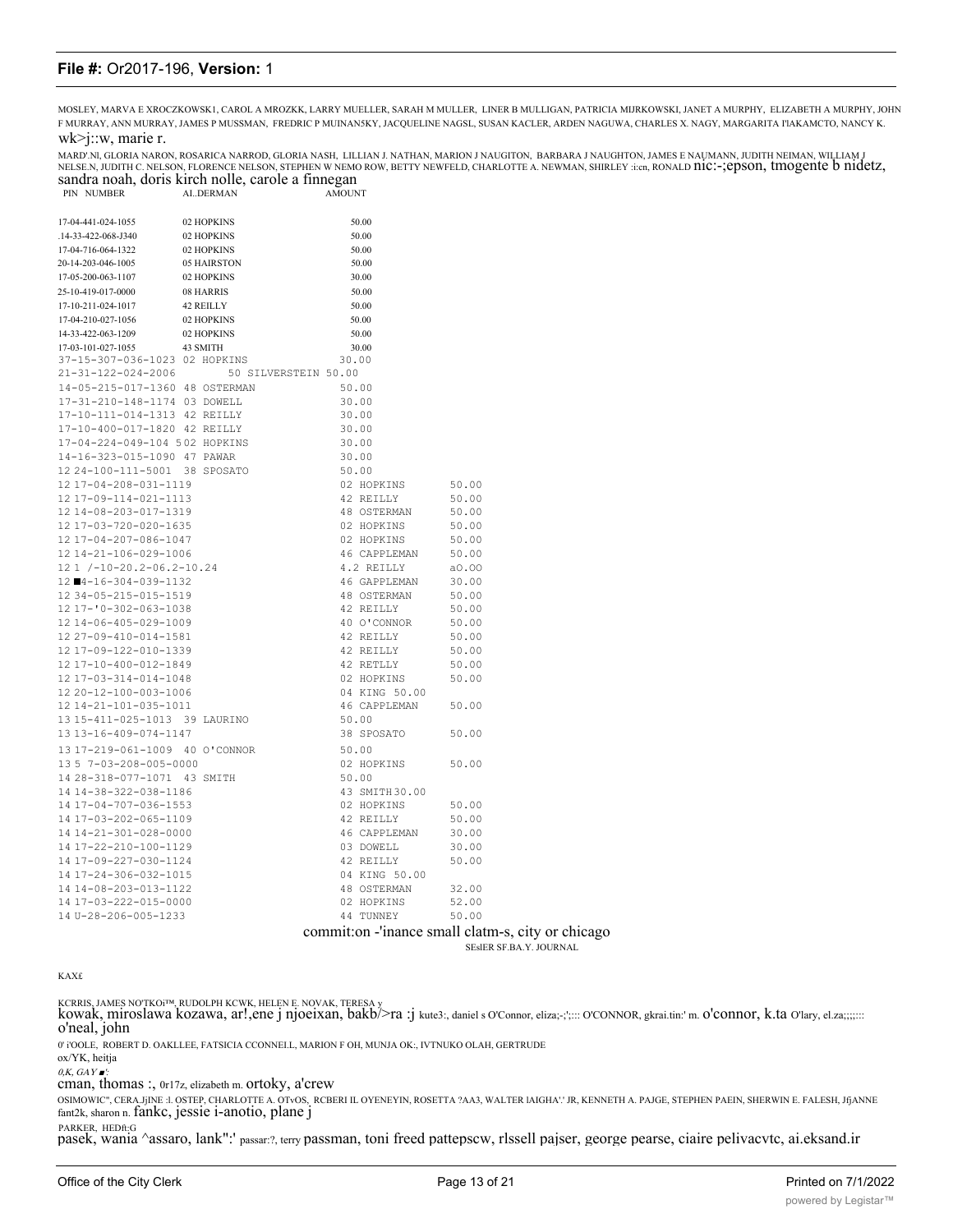MOSLEY, MARVA E XROCZKOWSK1, CAROL A MROZKK, LARRY MUELLER, SARAH M MULLER, LINER B MULLIGAN, PATRICIA MIJRKOWSKI, JANET A MURPHY, ELIZABETH A MURPHY, JOHN F MURRAY, ANN MURRAY, JAMES P MUSSMAN, FREDRIC P MUINAN5KY, JACQUELINE NAGSL, SUSAN KACLER, ARDEN NAGUWA, CHARLES X. NAGY, MARGARITA I'lAKAMCTO, NANCY K.

### wk>j::w, marie r.

PIN NUMBER

MARD'.Nl, GLORIA NARON, ROSARICA NARROD, GLORIA NASH, LILLIAN J. NATHAN, MARION J NAUGITON, BARBARA J NAUGHTON, JAMES E NAUMANN, JUDITH NEIMAN, WILLIAM J NELSE.N, JUDITH C. NELSON, FLORENCE NELSON, STEPHEN W NEMO ROW, BETTY NEWFELD, CHARLOTTE A. NEWMAN, SHIRLEY :i:cn, RONALD nic:-;epson, tmogente b nidetz,<br>sandra noah, doris kirch nolle, carole a finnegan<br>aMOUNT AMOUNT

| 17-04-441-024-1055             | 02 HOPKINS                              | 50.00          |                                                     |
|--------------------------------|-----------------------------------------|----------------|-----------------------------------------------------|
| .14-33-422-068-J340            | 02 HOPKINS                              | 50.00          |                                                     |
| 17-04-716-064-1322             | 02 HOPKINS                              | 50.00          |                                                     |
| 20-14-203-046-1005             | 05 HAIRSTON                             | 50.00          |                                                     |
| 17-05-200-063-1107             | 02 HOPKINS                              | 30.00          |                                                     |
| 25-10-419-017-0000             | 08 HARRIS                               | 50.00          |                                                     |
| 17-10-211-024-1017             | 42 REILLY                               | 50.00          |                                                     |
| 17-04-210-027-1056             | 02 HOPKINS                              | 50.00          |                                                     |
| 14-33-422-063-1209             | 02 HOPKINS                              | 50.00          |                                                     |
| 17-03-101-027-1055 43 SMITH    |                                         | 30.00          |                                                     |
| 37-15-307-036-1023 02 HOPKINS  |                                         | 30.00          |                                                     |
|                                | 21-31-122-024-2006 50 SILVERSTEIN 50.00 |                |                                                     |
| 14-05-215-017-1360 48 OSTERMAN |                                         | 50.00          |                                                     |
| 17-31-210-148-1174 03 DOWELL   |                                         | 30.00          |                                                     |
| 17-10-111-014-1313 42 REILLY   |                                         | 30.00          |                                                     |
| 17-10-400-017-1820 42 REILLY   |                                         | 30.00          |                                                     |
| 17-04-224-049-104 502 HOPKINS  |                                         | 30.00          |                                                     |
| 14-16-323-015-1090 47 PAWAR    |                                         | 30.00          |                                                     |
| 12 24-100-111-5001 38 SPOSATO  |                                         | 50.00          |                                                     |
| 12 17-04-208-031-1119          |                                         | 02 HOPKINS     | 50.00                                               |
| 12 17-09-114-021-1113          |                                         | 42 REILLY      | 50.00                                               |
| 12 14-08-203-017-1319          |                                         | 48 OSTERMAN    | 50.00                                               |
| 12 17-03-720-020-1635          |                                         | 02 HOPKINS     | 50.00                                               |
| 12 17-04-207-086-1047          |                                         | 02 HOPKINS     | 50.00                                               |
| 12 14-21-106-029-1006          |                                         | 46 CAPPLEMAN   | 50.00                                               |
| 12 1 /-10-20.2-06.2-10.24      |                                         | 4.2 REILLY     | a0.00                                               |
| 12 4-16-304-039-1132           |                                         | 46 GAPPLEMAN   | 30.00                                               |
| 12 34-05-215-015-1519          |                                         | 48 OSTERMAN    | 50.00                                               |
| 12 17-'0-302-063-1038          |                                         | 42 REILLY      | 50.00                                               |
| 12 14-06-405-029-1009          |                                         | 40 O'CONNOR    | 50.00                                               |
| 12 27-09-410-014-1581          |                                         | 42 REILLY      | 50.00                                               |
| 12 17-09-122-010-1339          |                                         | 42 REILLY      | 50.00                                               |
| 12 17-10-400-012-1849          |                                         | 42 RETLLY      | 50.00                                               |
| 12 17-03-314-014-1048          |                                         | 02 HOPKINS     | 50.00                                               |
| 12 20-12-100-003-1006          |                                         | 04 KING 50.00  |                                                     |
| 12 14-21-101-035-1011          |                                         | 46 CAPPLEMAN   | 50.00                                               |
| 13 15-411-025-1013 39 LAURINO  |                                         | 50.00          |                                                     |
| 13 13-16-409-074-1147          |                                         | 38 SPOSATO     | 50.00                                               |
| 13 17-219-061-1009 40 O'CONNOR |                                         | 50.00          |                                                     |
| 13 5 7-03-208-005-0000         |                                         | 02 HOPKINS     | 50.00                                               |
| 14 28-318-077-1071 43 SMITH    |                                         | 50.00          |                                                     |
| 14 14-38-322-038-1186          |                                         | 43 SMITH 30.00 |                                                     |
| 14 17-04-707-036-1553          |                                         | 02 HOPKINS     | 50.00                                               |
| 14 17-03-202-065-1109          |                                         | 42 REILLY      | 50.00                                               |
| 14 14-21-301-028-0000          |                                         | 46 CAPPLEMAN   | 30.00                                               |
| 14 17-22-210-100-1129          |                                         | 03 DOWELL      | 30.00                                               |
| 14 17-09-227-030-1124          |                                         | 42 REILLY      | 50.00                                               |
| 14 17-24-306-032-1015          |                                         | 04 KING 50.00  |                                                     |
| 14 14-08-203-013-1122          |                                         | 48 OSTERMAN    | 32.00                                               |
| 14 17-03-222-015-0000          |                                         | 02 HOPKINS     | 52.00                                               |
| 14 U-28-206-005-1233           |                                         | 44 TUNNEY      | 50.00                                               |
|                                |                                         |                |                                                     |
|                                |                                         |                | commit: on - 'inance small clatm-s, city or chicago |

SEslER SF.BA.Y. JOURNAL

KAX£

KCRRIS, JAMES NOTKOI™, RUDOLPH KCWK, HELEN E. NOVAK, TERESA y<br>**kowak, miroslawa kozawa, ar!,ene j njoeixan, bakb/>ra :j** kute3:, daniel s O'Connor, eliza;-;';::: O'CONNOR, gkrai.tin:' m. O**'CONNOT, k.ta** O'lary, el.za;;;;: o'neal, john

0' i'OOLE, ROBERT D. OAKLLEE, FATSICIA CCONNEI.L, MARION F OH, MUNJA OK:, IVTNUKO OLAH, GERTRUDE

ox/YK, heitja

 $0, K, GAY \blacksquare$ 

cman, thomas :, 0r17z, elizabeth m. ortoky, a'crew

OSIMOWIC", CERA.JjINE :l. OSTEP, CHARLOTTE A. OTvOS, RCBERI IL OYENEYIN, ROSETTA ?AA3, WALTER lAIGHA'.' JR, KENNETH A. PAJGE, STEPHEN PAEIN, SHERWIN E. FALESH, JfjANNE fant2k, sharon n. fankc, jessie i-anotio, plane j

PARKER, HEDft:G pasek, wania ^assaro, lank":' passar:?, terry passman, toni freed pattepscw, rlssell pajser, george pearse, ciaire pelivacvtc, ai.eksand.ir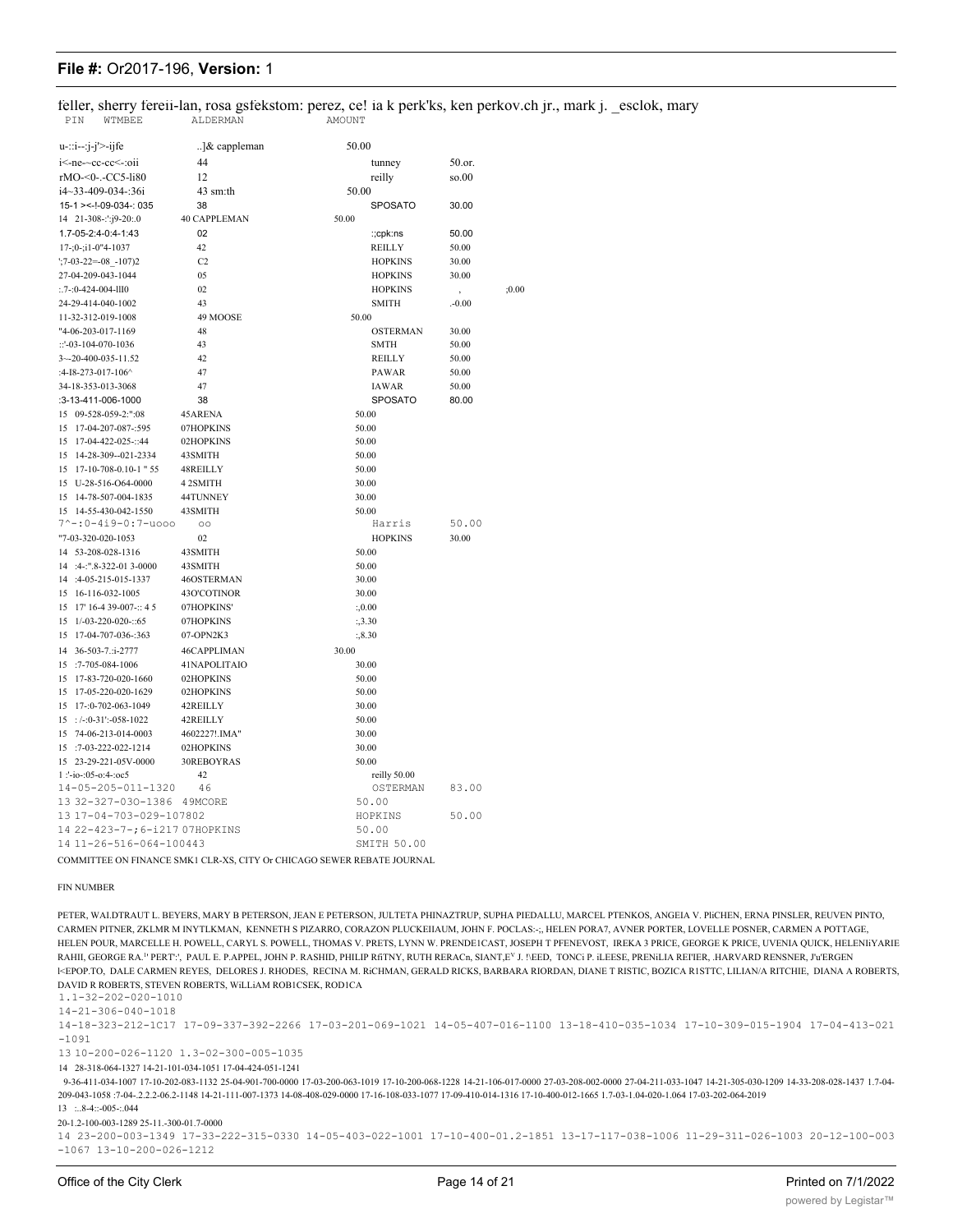feller, sherry fereii-lan, rosa gsfekstom: perez, ce! ia k perk'ks, ken perkov.ch jr., mark j. esclok, mary ALDERMAN PIN WTMBEE AMOUNT

| $u$ -::i--:j-j'>-ijfe                                 | ]& cappleman         | 50.00                    |           |       |
|-------------------------------------------------------|----------------------|--------------------------|-----------|-------|
| i<-ne-~cc-cc<-:oii                                    | 44                   | tunney                   | 50.or.    |       |
| rMO-<0-.-CC5-li80                                     | 12                   | reilly                   | so.00     |       |
| i4~33-409-034-:36i                                    | 43 sm:th             | 50.00                    |           |       |
| 15-1 > <-!-09-034-: 035                               | 38                   | <b>SPOSATO</b>           | 30.00     |       |
| 14 21-308-:':j9-20:.0                                 | 40 CAPPLEMAN         | 50.00                    |           |       |
| 1.7-05-2:4-0:4-1:43                                   | 02                   | :;cpk:ns                 | 50.00     |       |
| 17-;0-;i1-0"4-1037                                    | 42                   | <b>REILLY</b>            | 50.00     |       |
| $\frac{1}{2}$ :7-03-22=-08 -107)2                     | C2                   | <b>HOPKINS</b>           | 30.00     |       |
| 27-04-209-043-1044                                    | 05                   | <b>HOPKINS</b>           | 30.00     |       |
| $: .7 - 0 - 424 - 004 - 1110$                         | 02                   | <b>HOPKINS</b>           |           | :0.00 |
| 24-29-414-040-1002                                    | 43                   | <b>SMITH</b>             | $. -0.00$ |       |
| 11-32-312-019-1008                                    | 49 MOOSE             | 50.00                    |           |       |
| "4-06-203-017-1169                                    | 48                   | <b>OSTERMAN</b>          | 30.00     |       |
| ::'-03-104-070-1036                                   | 43                   | <b>SMTH</b>              | 50.00     |       |
| 3~-20-400-035-11.52                                   | 42                   | <b>REILLY</b>            | 50.00     |       |
| :4-I8-273-017-106^                                    | 47                   | <b>PAWAR</b>             | 50.00     |       |
| 34-18-353-013-3068                                    | 47                   | <b>IAWAR</b>             | 50.00     |       |
| :3-13-411-006-1000                                    | 38                   | <b>SPOSATO</b>           | 80.00     |       |
| 15 09-528-059-2:":08                                  | 45ARENA              | 50.00                    |           |       |
| 15 17-04-207-087-:595                                 | 07HOPKINS            | 50.00                    |           |       |
| 15 17-04-422-025-::44                                 | 02HOPKINS            | 50.00                    |           |       |
| 15 14-28-309--021-2334                                | 43SMITH              | 50.00                    |           |       |
| 15 17-10-708-0.10-1 " 55                              |                      | 50.00                    |           |       |
| 15 U-28-516-O64-0000                                  | 48REILLY<br>4 2SMITH | 30.00                    |           |       |
| 15 14-78-507-004-1835                                 | 44TUNNEY             |                          |           |       |
| 15 14-55-430-042-1550                                 | 43SMITH              | 30.00<br>50.00           |           |       |
| 7^-:0-4i9-0:7-uooo                                    | $\circ$              | Harris                   | 50.00     |       |
| "7-03-320-020-1053                                    | 02                   | <b>HOPKINS</b>           | 30.00     |       |
| 14 53-208-028-1316                                    | 43SMITH              | 50.00                    |           |       |
| 14 :4-:".8-322-01 3-0000                              | 43SMITH              | 50.00                    |           |       |
| 14 :4-05-215-015-1337                                 | 46OSTERMAN           | 30.00                    |           |       |
| 15 16-116-032-1005                                    | 43O'COTINOR          | 30.00                    |           |       |
| 15 17' 16-4 39-007-:: 4 5                             | 07HOPKINS'           |                          |           |       |
| 15 1/-03-220-020-::65                                 | 07HOPKINS            | : 0.00<br>:3.30          |           |       |
| 15 17-04-707-036-:363                                 | 07-OPN2K3            | :3.30                    |           |       |
|                                                       |                      |                          |           |       |
| 14 36-503-7.:i-2777                                   | 46CAPPLIMAN          | 30.00                    |           |       |
| 15 :7-705-084-1006                                    | 41NAPOLITAIO         | 30.00                    |           |       |
| 15 17-83-720-020-1660                                 | 02HOPKINS            | 50.00                    |           |       |
| 15 17-05-220-020-1629                                 | 02HOPKINS            | 50.00                    |           |       |
| 15 17-:0-702-063-1049                                 | 42REILLY             | 30.00                    |           |       |
| $15$ : $/-:0-31$ : $-058-1022$                        | 42REILLY             | 50.00                    |           |       |
| 15 74-06-213-014-0003                                 | 4602227!.IMA"        | 30.00                    |           |       |
| 15 :7-03-222-022-1214<br>15 23-29-221-05V-0000        | 02HOPKINS            | 30.00                    |           |       |
|                                                       | 30REBOYRAS           | 50.00                    |           |       |
| 1:'-io-:05-o:4-:oc5<br>14-05-205-011-1320             | 42<br>46             | reilly 50.00<br>OSTERMAN | 83.00     |       |
|                                                       |                      | 50.00                    |           |       |
| 13 32-327-030-1386 49MCORE<br>13 17-04-703-029-107802 |                      | HOPKINS                  | 50.00     |       |
| 14 22-423-7-; 6-i217 07HOPKINS                        |                      | 50.00                    |           |       |
| 14 11-26-516-064-100443                               |                      | SMITH 50.00              |           |       |
|                                                       |                      |                          |           |       |

COMMITTEE ON FINANCE SMK1 CLR-XS, CITY Or CHICAGO SEWER REBATE JOURNAL

#### **FIN NUMBER**

PETER, WALDTRAUT L. BEYERS, MARY B PETERSON, JEAN E PETERSON, JULTETA PHINAZTRUP, SUPHA PIEDALLU, MARCEL PTENKOS, ANGEIA V. PICHEN, ERNA PINSLER, REUVEN PINTO, CARMEN PITNER, ZKLMR M INYTLKMAN, KENNETH S PIZARRO, CORAZON PLUCKEIIAUM, JOHN F. POCLAS:-;, HELEN PORA7, AVNER PORTER, LOVELLE POSNER, CARMEN A POTTAGE, HELEN POUR, MARCELLE H. POWELL, CARYL S. POWELL, THOMAS V. PRETS, LYNN W. PRENDEICAST, JOSEPH T PFENEVOST, IREKA 3 PRICE, GEORGE K PRICE, UVENIA QUICK, HELENIYARIE RAHII, GEORGE RA." PERT", PAUL E. P.APPEL, JOHN P. RASHID, PHILIP RITNY, RUTH RERACD, SIANT,E<sup>V</sup> J. NEED, TONCI P. ILEESE, PRENILIA REI'IER, HARVARD RENSNER, J'a'ERGEN I<EPOP.TO, DALE CARMEN REYES, DELORES J. RHODES, RECINA M. RICHMAN, GERALD RICKS, BARBARA RIORDAN, DIANE T RISTIC, BOZICA RISTTC, LILIAN/A RITCHIE, DIANA A ROBERTS, DAVID R ROBERTS, STEVEN ROBERTS, WILLIAM ROBICSEK, RODICA

 $1.1 - 32 - 202 - 020 - 1010$ 

 $14 - 21 - 306 - 040 - 1018$ 

14-18-323-212-1C17 17-09-337-392-2266 17-03-201-069-1021 14-05-407-016-1100 13-18-410-035-1034 17-10-309-015-1904 17-04-413-021  $-1091$ 

13 10-200-026-1120 1.3-02-300-005-1035

14 28-318-064-1327 14-21-101-034-1051 17-04-424-051-1241

9-36-411-034-1007 17-10-202-083-1132 25-04-901-700-0000 17-03-200-063-1019 17-10-200-068-1228 14-21-106-017-0000 27-03-208-002-0000 27-04-211-033-1047 14-21-305-030-1209 14-33-208-028-1437 1.7-04-209-043-1058 :7-04-.2.2.2-06.2-1148 14-21-111-007-1373 14-08-408-029-0000 17-16-108-033-1077 17-09-410-014-1316 17-10-400-012-1665 1.7-03-1.04-020-1.064 17-03-202-064-2019  $13 \dots 8 - 4 \dots -005 - 0.044$ 

20-1.2-100-003-1289 25-11.-300-01.7-0000

14 23-200-003-1349 17-33-222-315-0330 14-05-403-022-1001 17-10-400-01.2-1851 13-17-117-038-1006 11-29-311-026-1003 20-12-100-003  $-1067$  13-10-200-026-1212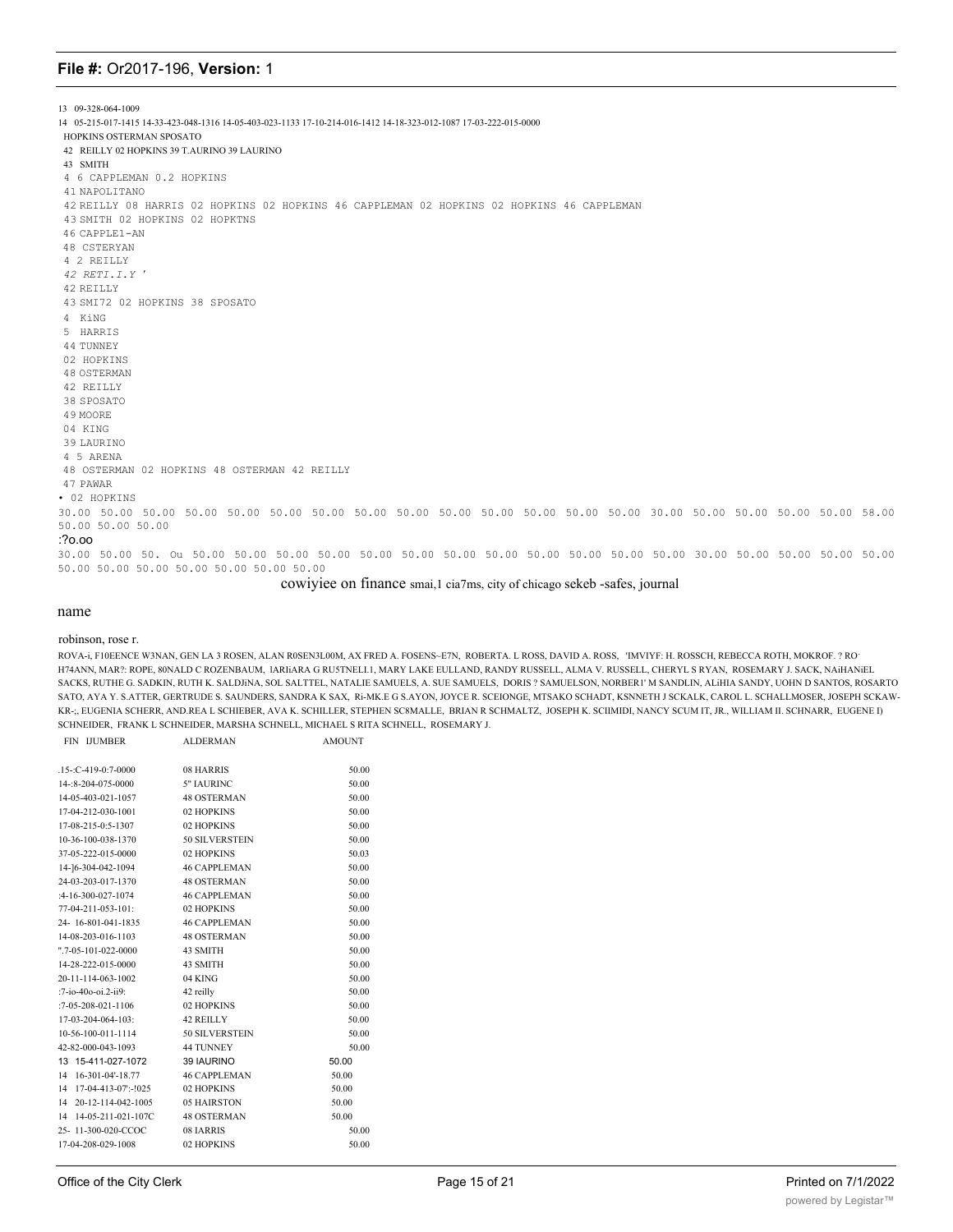13 09-328-064-1009 14 05-215-017-1415 14-33-423-048-1316 14-05-403-023-1133 17-10-214-016-1412 14-18-323-012-1087 17-03-222-015-0000 HOPKINS OSTERMAN SPOSATO 42 REILLY 02 HOPKINS 39 T.AURINO 39 LAURINO 43 SMITH 4 6 CAPPLEMAN 0.2 HOPKINS 41 NAPOLITANO 42 REILLY 08 HARRIS 02 HOPKINS 02 HOPKINS 46 CAPPLEMAN 02 HOPKINS 02 HOPKINS 46 CAPPLEMAN 43 SMITH 02 HOPKINS 02 HOPKTNS 46 CAPPLE1-AN 48 CSTERYAN 4 2 REILLY *42 RETI.I.Y* ' 42 REILLY 43 SMI72 02 HOPKINS 38 SPOSATO 4 KiNG 5 HARRIS 44 TUNNEY 02 HOPKINS 48 OSTERMAN 42 REILLY 38 SPOSATO 49 MOORE 04 KING 39 LAURINO 4 5 ARENA 48 OSTERMAN 02 HOPKINS 48 OSTERMAN 42 REILLY 47 PAWAR • 02 HOPKINS 30.00 50.00 50.00 50.00 50.00 50.00 50.00 50.00 50.00 50.00 50.00 50.00 50.00 50.00 30.00 50.00 50.00 50.00 50.00 58.00 50.00 50.00 50.00 :?o.oo 30.00 50.00 50. Ou 50.00 50.00 50.00 50.00 50.00 50.00 50.00 50.00 50.00 50.00 50.00 50.00 30.00 50.00 50.00 50.00 50.00 50.00 50.00 50.00 50.00 50.00 50.00 50.00

cowiyiee on finance smai,1 cia7ms, city of chicago sekeb -safes, journal

### name

robinson, rose r.

ROVA-i, F10EENCE W3NAN, GEN LA 3 ROSEN, ALAN R0SEN3L00M, AX FRED A. FOSENS~E7N, ROBERTA. L ROSS, DAVID A. ROSS, 'IMVIYF: H. ROSSCH, REBECCA ROTH, MOKROF. ? RO-H74ANN, MAR?: ROPE, 80NALD C ROZENBAUM, lARIiARA G RU5TNELI.1, MARY LAKE EULLAND, RANDY RUSSELL, ALMA V. RUSSELL, CHERYL S RYAN, ROSEMARY J. SACK, NAiHANiEL SACKS, RUTHE G. SADKIN, RUTH K. SALDJiNA, SOL SALTTEL, NATALIE SAMUELS, A. SUE SAMUELS, DORIS ? SAMUELSON, NORBER1' M SANDLIN, ALiHIA SANDY, UOHN D SANTOS, ROSARTO SATO, AYA Y. S.ATTER, GERTRUDE S. SAUNDERS, SANDRA K SAX, Ri-MK.E G S.AYON, JOYCE R. SCEIONGE, MTSAKO SCHADT, KSNNETH J SCKALK, CAROL L. SCHALLMOSER, JOSEPH SCKAW-KR-;, EUGENIA SCHERR, AND.REA L SCHIEBER, AVA K. SCHILLER, STEPHEN SC8MALLE, BRIAN R SCHMALTZ, JOSEPH K. SCIIMIDI, NANCY SCUM IT, JR., WILLIAM II. SCHNARR, EUGENE I) SCHNEIDER, FRANK L SCHNEIDER, MARSHA SCHNELL, MICHAEL S RITA SCHNELL, ROSEMARY J.

| FIN IJUMBER | <b>ALDERMAN</b> | AMOUNT |
|-------------|-----------------|--------|
|             |                 |        |

| $.15$ -:C-419-0:7-0000   | 08 HARRIS           | 50.00 |
|--------------------------|---------------------|-------|
| 14-: 8-204-075-0000      | 5" IAURINC          | 50.00 |
| 14-05-403-021-1057       | <b>48 OSTERMAN</b>  | 50.00 |
| 17-04-212-030-1001       | 02 HOPKINS          | 50.00 |
| 17-08-215-0:5-1307       | 02 HOPKINS          | 50.00 |
| 10-36-100-038-1370       | 50 SILVERSTEIN      | 50.00 |
| 37-05-222-015-0000       | 02 HOPKINS          | 50.03 |
| 14-16-304-042-1094       | <b>46 CAPPLEMAN</b> | 50.00 |
| 24-03-203-017-1370       | <b>48 OSTERMAN</b>  | 50.00 |
| :4-16-300-027-1074       | <b>46 CAPPLEMAN</b> | 50.00 |
| 77-04-211-053-101:       | 02 HOPKINS          | 50.00 |
| 24-16-801-041-1835       | 46 CAPPLEMAN        | 50.00 |
| 14-08-203-016-1103       | <b>48 OSTERMAN</b>  | 50.00 |
| ".7-05-101-022-0000      | 43 SMITH            | 50.00 |
| 14-28-222-015-0000       | 43 SMITH            | 50.00 |
| 20-11-114-063-1002       | 04 KING             | 50.00 |
| :7-io-40o-oi.2-ii9:      | 42 reilly           | 50.00 |
| $:7-05-208-021-1106$     | 02 HOPKINS          | 50.00 |
| $17-03-204-064-103$ :    | 42 REILLY           | 50.00 |
| 10-56-100-011-1114       | 50 SILVERSTEIN      | 50.00 |
| 42-82-000-043-1093       | <b>44 TUNNEY</b>    | 50.00 |
| 13 15-411-027-1072       | 39 IAURINO          | 50.00 |
| 14 16-301-04'-18.77      | <b>46 CAPPLEMAN</b> | 50.00 |
| 14 17-04-413-07:-!025    | 02 HOPKINS          | 50.00 |
| 14<br>20-12-114-042-1005 | 05 HAIRSTON         | 50.00 |
| 14 14-05-211-021-107C    | 48 OSTERMAN         | 50.00 |
| 25-11-300-020-CCOC       | 08 IARRIS           | 50.00 |
| 17-04-208-029-1008       | 02 HOPKINS          | 50.00 |
|                          |                     |       |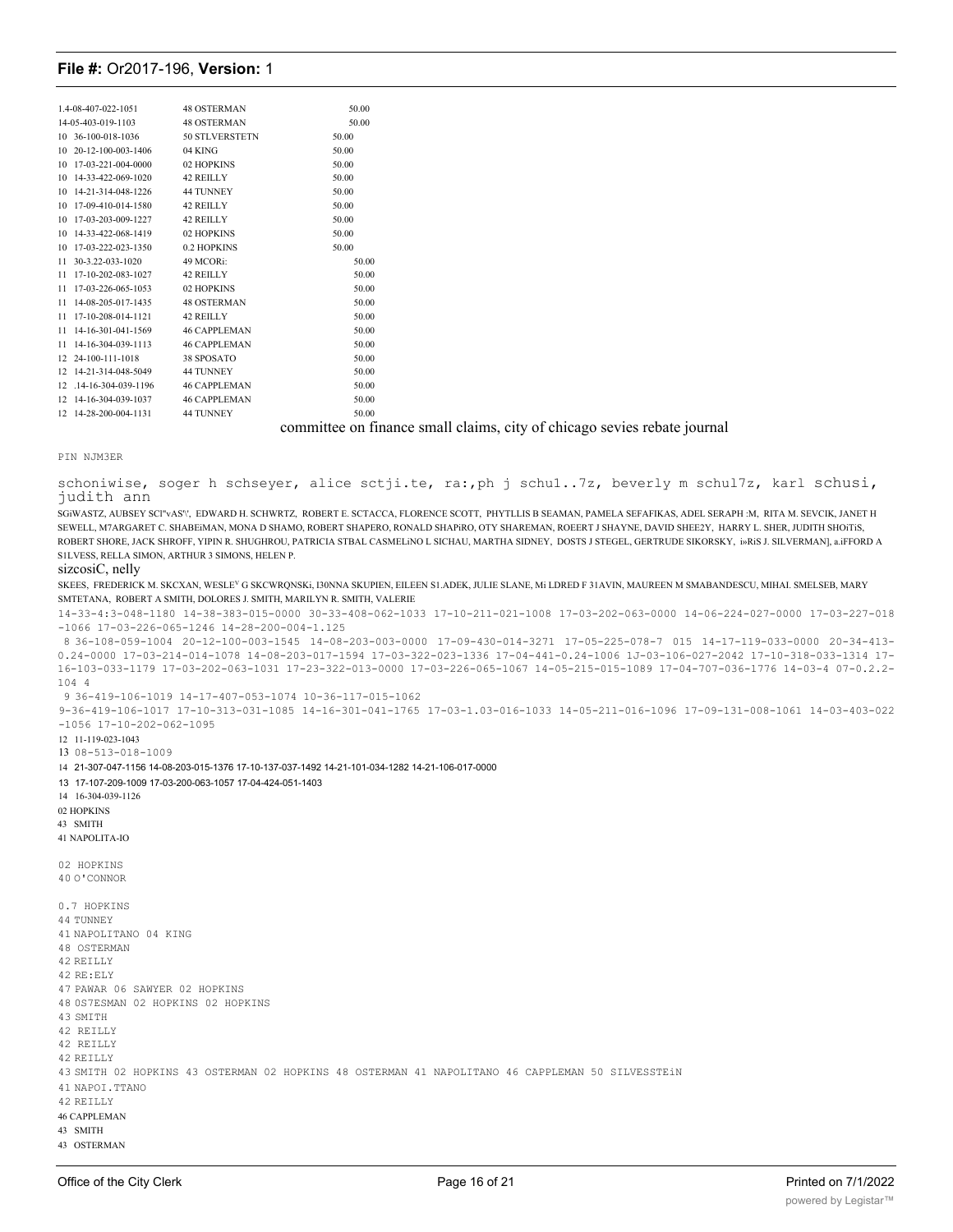| 1.4-08-407-022-1051   | <b>48 OSTERMAN</b>  | 50.00 |  |
|-----------------------|---------------------|-------|--|
| 14-05-403-019-1103    | <b>48 OSTERMAN</b>  | 50.00 |  |
| 10 36-100-018-1036    | 50 STLVERSTETN      | 50.00 |  |
| 10 20-12-100-003-1406 | 04 KING             | 50.00 |  |
| 10 17-03-221-004-0000 | 02 HOPKINS          | 50.00 |  |
| 10 14-33-422-069-1020 | 42 REILLY           | 50.00 |  |
| 10 14-21-314-048-1226 | <b>44 TUNNEY</b>    | 50.00 |  |
| 10 17-09-410-014-1580 | 42 REILLY           | 50.00 |  |
| 10 17-03-203-009-1227 | 42 REILLY           | 50.00 |  |
| 10 14-33-422-068-1419 | 02 HOPKINS          | 50.00 |  |
| 10 17-03-222-023-1350 | 0.2 HOPKINS         | 50.00 |  |
| 11 30-3.22-033-1020   | 49 MCORi:           | 50.00 |  |
| 11 17-10-202-083-1027 | 42 REILLY           | 50.00 |  |
| 11 17-03-226-065-1053 | 02 HOPKINS          | 50.00 |  |
| 11 14-08-205-017-1435 | <b>48 OSTERMAN</b>  | 50.00 |  |
| 11 17-10-208-014-1121 | 42 REILLY           | 50.00 |  |
| 11 14-16-301-041-1569 | <b>46 CAPPLEMAN</b> | 50.00 |  |
| 11 14-16-304-039-1113 | <b>46 CAPPLEMAN</b> | 50.00 |  |
| 12 24-100-111-1018    | 38 SPOSATO          | 50.00 |  |
| 12 14-21-314-048-5049 | 44 TUNNEY           | 50.00 |  |
| 12.14-16-304-039-1196 | <b>46 CAPPLEMAN</b> | 50.00 |  |
| 12 14-16-304-039-1037 | <b>46 CAPPLEMAN</b> | 50.00 |  |
| 12 14-28-200-004-1131 | <b>44 TUNNEY</b>    | 50.00 |  |
|                       |                     |       |  |

committee on finance small claims, city of chicago sevies rebate journal

PIN NJM3ER

schoniwise, soger h schseyer, alice sctji.te, ra:, ph j schu1..7z, beverly m schul7z, karl schusi, judith ann

SGiWASTZ, AUBSEY SCl"vAS'\', EDWARD H. SCHWRTZ, ROBERT E. SCTACCA, FLORENCE SCOTT, PHYTLLIS B SEAMAN, PAMELA SEFAFIKAS, ADEL SERAPH :M, RITA M. SEVCIK, JANET H SEWELL, M7ARGARET C. SHAREIMAN, MONA D SHAMO, ROBERT SHAPERO, RONALD SHAPIRO, OTY SHAREMAN, ROEERT I SHAVNE, DAVID SHEE2Y, HARRY L. SHER, JUDITH SHOITIS, ROBERT SHORE, JACK SHROFF, YIPIN R. SHUGHROU, PATRICIA STBAL CASMELiNO L SICHAU, MARTHA SIDNEY, DOSTS J STEGEL, GERTRUDE SIKORSKY, i»RiS J. SILVERMAN], a.iFFORD A S1LVESS, RELLA SIMON, ARTHUR 3 SIMONS, HELEN P.

#### sizcosiC, nelly

SKEES, FREDERICK M. SKCXAN, WESLEV G SKCWRQNSKi, I30NNA SKUPIEN, EILEEN S1.ADEK, JULIE SLANE, Mi LDRED F 31AVIN, MAUREEN M SMABANDESCU, MIHAI. SMELSEB, MARY SMTETANA, ROBERT A SMITH, DOLORES J. SMITH, MARILYN R. SMITH, VALERIE

14-33-4:3-048-1180 14-38-383-015-0000 30-33-408-062-1033 17-10-211-021-1008 17-03-202-063-0000 14-06-224-027-0000 17-03-227-018 -1066 17-03-226-065-1246 14-28-200-004-1.125

8 36-108-059-1004 20-12-100-003-1545 14-08-203-003-0000 17-09-430-014-3271 17-05-225-078-7 015 14-17-119-033-0000 20-34-413- 0.24-0000 17-03-214-014-1078 14-08-203-017-1594 17-03-322-023-1336 17-04-441-0.24-1006 1J-03-106-027-2042 17-10-318-033-1314 17- 16-103-033-1179 17-03-202-063-1031 17-23-322-013-0000 17-03-226-065-1067 14-05-215-015-1089 17-04-707-036-1776 14-03-4 07-0.2.2- 104 4

9 36-419-106-1019 14-17-407-053-1074 10-36-117-015-1062

9-36-419-106-1017 17-10-313-031-1085 14-16-301-041-1765 17-03-1.03-016-1033 14-05-211-016-1096 17-09-131-008-1061 14-03-403-022 -1056 17-10-202-062-1095

12 11-119-023-1043

13 08-513-018-1009

14 21-307-047-1156 14-08-203-015-1376 17-10-137-037-1492 14-21-101-034-1282 14-21-106-017-0000

13 17-107-209-1009 17-03-200-063-1057 17-04-424-051-1403

14 16-304-039-1126 02 HOPKINS 43 SMITH

41 NAPOLITA-IO

02 HOPKINS 40 O'CONNOR

0.7 HOPKINS 44 TUNNEY 41 NAPOLITANO 04 KING 48 OSTERMAN 42 REILLY 42 RE:ELY 47 PAWAR 06 SAWYER 02 HOPKINS 48 0S7ESMAN 02 HOPKINS 02 HOPKINS 43 SMITH 42 REILLY 42 REILLY 42 REILLY 43 SMITH 02 HOPKINS 43 OSTERMAN 02 HOPKINS 48 OSTERMAN 41 NAPOLITANO 46 CAPPLEMAN 50 SILVESSTEiN 41 NAPOI.TTANO 42 REILLY 46 CAPPLEMAN 43 SMITH 43 OSTERMAN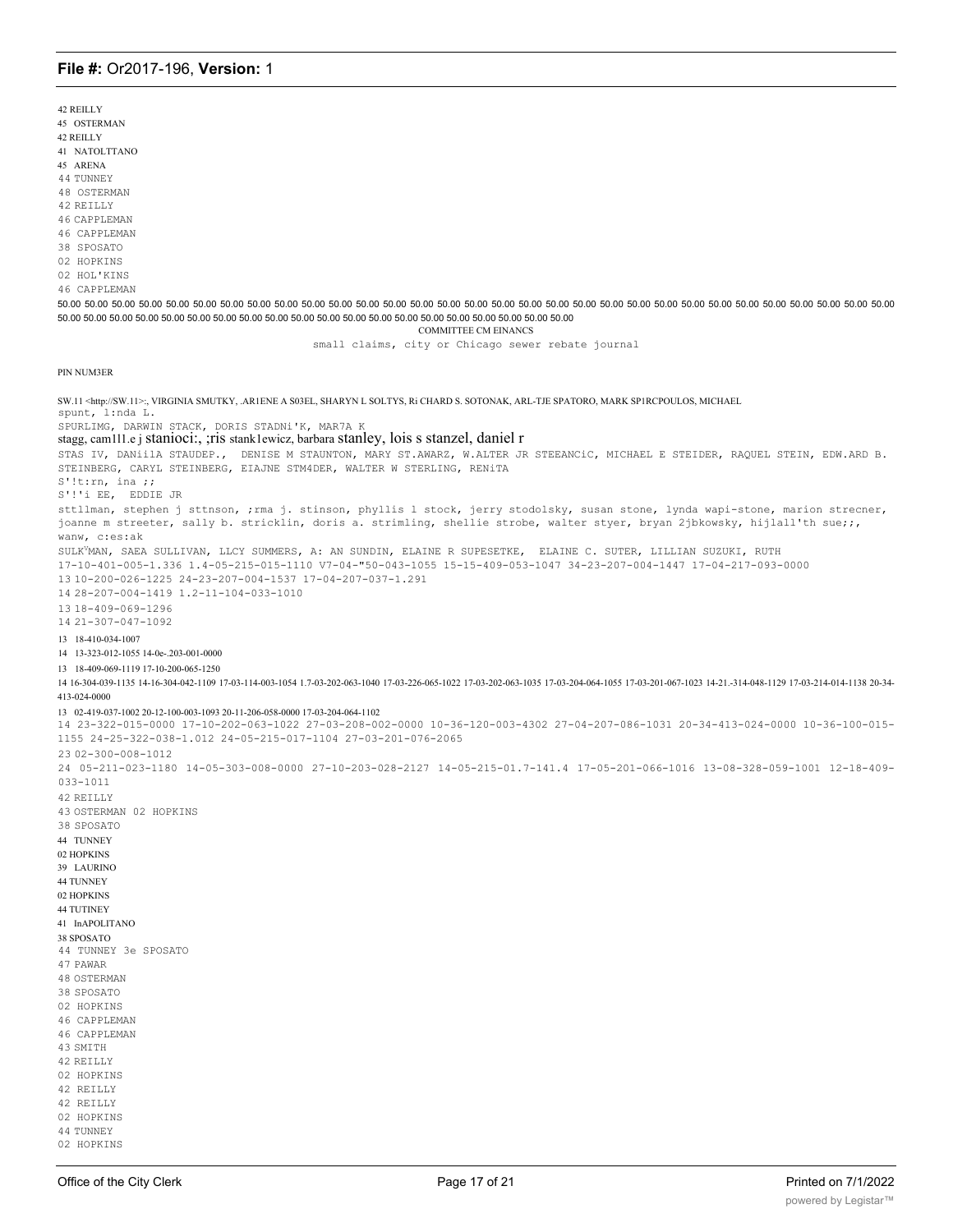42 REILLY 45 OSTERMAN 42 REILLY 41 NATOLTTANO 45 ARENA 44 THNNEY 48 OSTERMAN 42 REILLY 46 CAPPLEMAN 46 CAPPLEMAN 38 SPOSATO 02 HOPKINS 02 HOL'KINS 46 CAPPLEMAN 50.00 50.00 50.00 50.00 50.00 50.00 50.00 50.00 50.00 50.00 50.00 50.00 50.00 50.00 50.00 50.00 50.00 50.00 50.00 50.00 50.00 50.00 50.00 50.00 50.00 50.00 50.00 50.00 50.00 50.00 50.00 50.00 50.00 50.00 50.00 50.00 50.00 5 50.00 50.00 50.00 50.00 50.00 50.00 50.00 50.00 50.00 50.00 50.00 50.00 50.00 50.00 50.00 50.00 50.00 50.00 50.00 50.00 **COMMITTEE CM EINANCS** small claims, city or Chicago sewer rebate journal PIN NUM3ER SW.11 <http://SW.11>:, VIRGINIA SMUTKY, .AR1ENE A S03EL, SHARYN L SOLTYS, Ri CHARD S. SOTONAK, ARL-TJE SPATORO, MARK SPIRCPOULOS, MICHAEL spunt, l:nda L. SPURLIMG, DARWIN STACK, DORIS STADNi'K, MAR7A P stagg, cam111.e j stanioci:, ; ris stanklewicz, barbara stanley, lois s stanzel, daniel r STAS IV, DANiilA STAUDEP., DENISE M STAUNTON, MARY ST.AWARZ, W.ALTER JR STEEANCIC, MICHAEL E STEIDER, RAQUEL STEIN, EDW.ARD B. STEINBERG, CARYL STEINBERG, EIAJNE STM4DER, WALTER W STERLING, RENITA  $S'$ !t:rn, ina ;; S'!'i EE, EDDIE JR sttllman, stephen j sttnson, ;rma j. stinson, phyllis 1 stock, jerry stodolsky, susan stone, lynda wapi-stone, marion strecner, joanne m streeter, sally b. stricklin, doris a. strimling, shellie strobe, walter styer, bryan 2jbkowsky, hijlall'th sue;;, wanw, c:es:ak SULK<sup>V</sup>MAN, SAEA SULLIVAN, LLCY SUMMERS, A: AN SUNDIN, ELAINE R SUPESETKE, ELAINE C. SUTER, LILLIAN SUZUKI, RUTH 17-10-401-005-1.336 1.4-05-215-015-1110  $V7-04-$ "50-043-1055 15-15-409-053-1047 34-23-207-004-1447 17-04-217-093-0000 13 10-200-026-1225 24-23-207-004-1537 17-04-207-037-1.291 14 28-207-004-1419 1.2-11-104-033-1010 13 18-409-069-1296  $1421 - 307 - 047 - 1092$ 13 18-410-034-1007 14 13-323-012-1055 14-0e-.203-001-0000 13 18-409-069-1119 17-10-200-065-1250 14-03-030-1135 14-16-304-042-1109 17-03-114-003-1054 1.7-03-202-063-1040 17-03-226-065-1022 17-03-202-063-1023 17-03-204-064-1055 17-03-204-064-1055 17-03-201-067-1023 14-21.-314-048-1129 17-03-214-014-1138 20-34-413-024-0000 13 02-419-037-1002 20-12-100-003-1093 20-11-206-058-0000 17-03-204-064-1102 14 23-322-015-0000 17-10-202-063-1022 27-03-208-002-0000 10-36-120-003-4302 27-04-207-086-1031 20-34-413-024-0000 10-36-100-015-1155 24-25-322-038-1.012 24-05-215-017-1104 27-03-201-076-2065 23 02-300-008-1012 24 05-211-023-1180 14-05-303-008-0000 27-10-203-028-2127 14-05-215-01.7-141.4 17-05-201-066-1016 13-08-328-059-1001 12-18-409- $0.3.3 - 1.011$ 42 REILLY 43 OSTERMAN 02 HOPKINS 38 SPOSATO 44 TUNNEY 02 HOPKINS 39 LAURINO **44 TUNNEY** 02 HOPKINS **44 TUTINEY** 41 InAPOLITANO 38 SPOSATO 44 TUNNEY 3e SPOSATO 47 PAWAR **48 OSTERMAN** 38 SPOSATO 02 HOPKINS 46 CAPPLEMAN 46 CAPPLEMAN 43 SMITH 42 RETLLY 02 HOPKINS 42 REILLY 42 REILLY 02 HOPKINS 44 TUNNEY 02 HOPKINS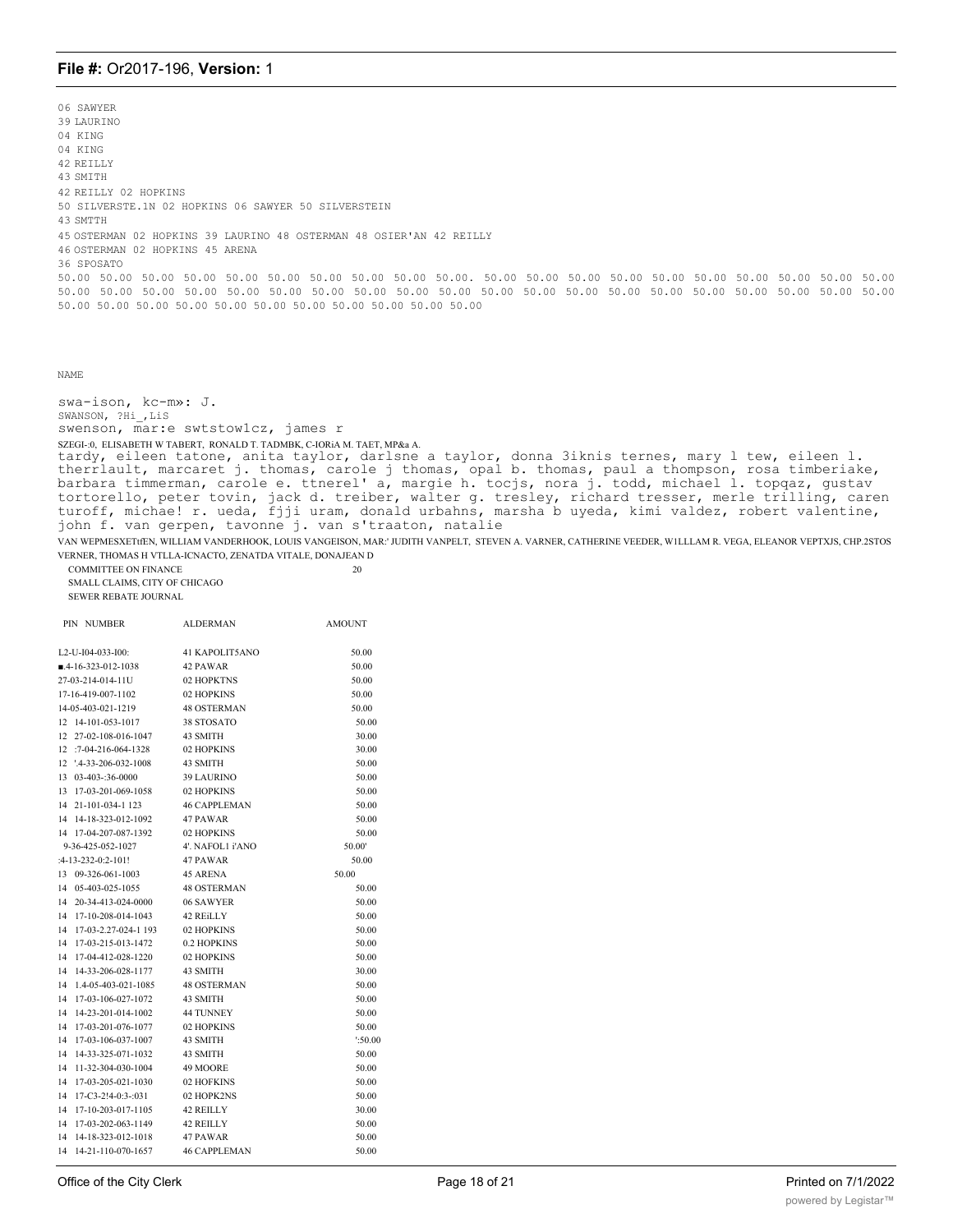06 SAWYER 39 LAURINO 04 KING 04 KING 42 REILLY 43 SMITH 42 REILLY 02 HOPKINS 50 SILVERSTE.1N 02 HOPKINS 06 SAWYER 50 SILVERSTEIN 43 SMTTH 45 OSTERMAN 02 HOPKINS 39 LAURINO 48 OSTERMAN 48 OSIER'AN 42 REILLY 46 OSTERMAN 02 HOPKINS 45 ARENA 36 SPOSATO 50.00 50.00 50.00 50.00 50.00 50.00 50.00 50.00 50.00 50.00. 50.00 50.00 50.00 50.00 50.00 50.00 50.00 50.00 50.00 50.00 50.00 50.00 50.00 50.00 50.00 50.00 50.00 50.00 50.00 50.00 50.00 50.00 50.00 50.00 50.00 50.00 50.00 50.00 50.00 50.00 50.00 50.00 50.00 50.00 50.00 50.00 50.00 50.00 50.00 50.00 50.00

```
NAME
```
swa-ison, kc-m»: J. SWANSON, ?Hi\_,LiS swenson, mar:e swtstow1cz, james r SZEGI-:0, ELISABETH W TABERT, RONALD T. TADMBK, C-IORiA M. TAET, MP&a A. tardy, eileen tatone, anita taylor, darlsne a taylor, donna 3iknis ternes, mary l tew, eileen l. therrlault, marcaret j. thomas, carole j thomas, opal b. thomas, paul a thompson, rosa timberiake, barbara timmerman, carole e. ttnerel' a, margie h. tocjs, nora j. todd, michael l. topqaz, gustav tortorello, peter tovin, jack d. treiber, walter g. tresley, richard tresser, merle trilling, caren turoff, michae! r. ueda, fjji uram, donald urbahns, marsha b uyeda, kimi valdez, robert valentine, john f. van gerpen, tavonne j. van s'traaton, natalie VAN WEPMESXETtfEN, WILLIAM VANDERHOOK, LOUIS VANGEISON, MAR:' JUDITH VANPELT, STEVEN A. VARNER, CATHERINE VEEDER, W1LLLAM R. VEGA, ELEANOR VEPTXJS, CHP.2STOS VERNER, THOMAS H VTLLA-ICNACTO, ZENATDA VITALE, DONAJEAN D

COMMITTEE ON FINANCE 20 SMALL CLAIMS, CITY OF CHICAGO SEWER REBATE JOURNAL

|    | PIN NUMBER                   | <b>ALDERMAN</b>     | <b>AMOUNT</b> |
|----|------------------------------|---------------------|---------------|
|    | L2-U-I04-033-I00:            | 41 KAPOLIT5ANO      | 50.00         |
|    | $-4-16-323-012-1038$         | 42 PAWAR            | 50.00         |
|    | 27-03-214-014-11U            | 02 HOPKTNS          | 50.00         |
|    | 17-16-419-007-1102           | 02 HOPKINS          | 50.00         |
|    | 14-05-403-021-1219           | <b>48 OSTERMAN</b>  | 50.00         |
| 12 | 14-101-053-1017              | 38 STOSATO          | 50.00         |
| 12 | 27-02-108-016-1047           | 43 SMITH            | 30.00         |
| 12 | $:7-04-216-064-1328$         | 02 HOPKINS          | 30.00         |
| 12 | $'4 - 33 - 206 - 032 - 1008$ | 43 SMITH            | 50.00         |
| 13 | 03-403-:36-0000              | <b>39 LAURINO</b>   | 50.00         |
| 13 | 17-03-201-069-1058           | 02 HOPKINS          | 50.00         |
| 14 | 21-101-034-1 123             | <b>46 CAPPLEMAN</b> | 50.00         |
| 14 | 14-18-323-012-1092           | 47 PAWAR            | 50.00         |
| 14 | 17-04-207-087-1392           | 02 HOPKINS          | 50.00         |
|    | 9-36-425-052-1027            | 4'. NAFOL1 i'ANO    | 50.00         |
|    | $:4-13-232-0:2-101!$         | 47 PAWAR            | 50.00         |
| 13 | 09-326-061-1003              | <b>45 ARENA</b>     | 50.00         |
| 14 | 05-403-025-1055              | <b>48 OSTERMAN</b>  | 50.00         |
| 14 | 20-34-413-024-0000           | 06 SAWYER           | 50.00         |
| 14 | 17-10-208-014-1043           | 42 REiLLY           | 50.00         |
| 14 | 17-03-2.27-024-1 193         | 02 HOPKINS          | 50.00         |
| 14 | 17-03-215-013-1472           | 0.2 HOPKINS         | 50.00         |
| 14 | 17-04-412-028-1220           | 02 HOPKINS          | 50.00         |
| 14 | 14-33-206-028-1177           | 43 SMITH            | 30.00         |
| 14 | 1.4-05-403-021-1085          | <b>48 OSTERMAN</b>  | 50.00         |
| 14 | 17-03-106-027-1072           | 43 SMITH            | 50.00         |
| 14 | 14-23-201-014-1002           | <b>44 TUNNEY</b>    | 50.00         |
| 14 | 17-03-201-076-1077           | 02 HOPKINS          | 50.00         |
| 14 | 17-03-106-037-1007           | 43 SMITH            | :50.00        |
| 14 | 14-33-325-071-1032           | 43 SMITH            | 50.00         |
| 14 | 11-32-304-030-1004           | 49 MOORE            | 50.00         |
| 14 | 17-03-205-021-1030           | 02 HOFKINS          | 50.00         |
| 14 | $17 - C3 - 2!4 - 0:3 - 031$  | 02 HOPK2NS          | 50.00         |
| 14 | 17-10-203-017-1105           | 42 REILLY           | 30.00         |
| 14 | 17-03-202-063-1149           | 42 REILLY           | 50.00         |
| 14 | 14-18-323-012-1018           | 47 PAWAR            | 50.00         |
| 14 | 14-21-110-070-1657           | <b>46 CAPPLEMAN</b> | 50.00         |
|    |                              |                     |               |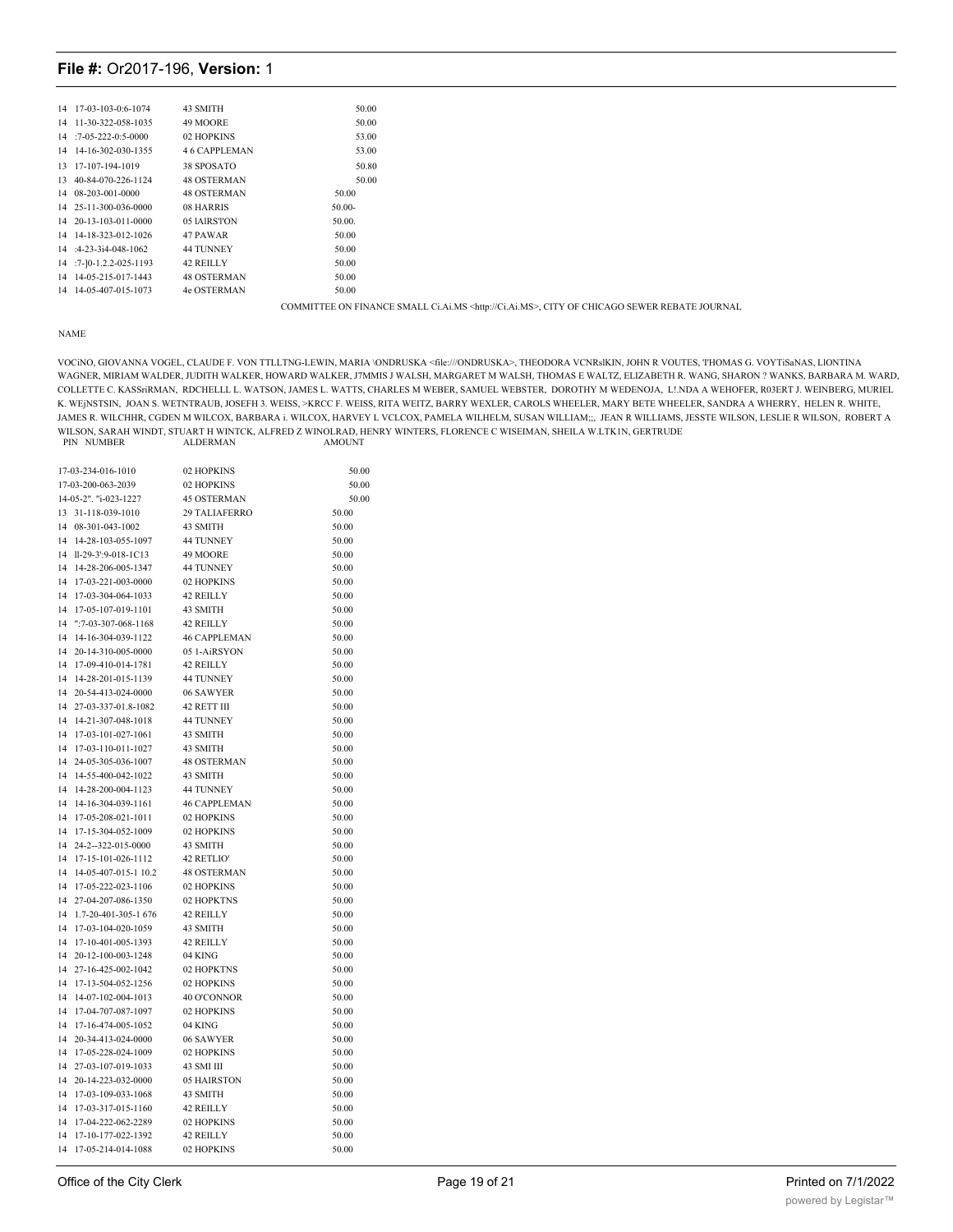| 14 17-03-103-0:6-1074    | 43 SMITH           | 50.00                                                                                                 |
|--------------------------|--------------------|-------------------------------------------------------------------------------------------------------|
| 14 11-30-322-058-1035    | 49 MOORE           | 50.00                                                                                                 |
| $14$ : 7-05-222-0:5-0000 | 02 HOPKINS         | 53.00                                                                                                 |
| 14 14-16-302-030-1355    | 46 CAPPLEMAN       | 53.00                                                                                                 |
| 13 17-107-194-1019       | 38 SPOSATO         | 50.80                                                                                                 |
| 13 40-84-070-226-1124    | <b>48 OSTERMAN</b> | 50.00                                                                                                 |
| 14 08-203-001-0000       | <b>48 OSTERMAN</b> | 50.00                                                                                                 |
| 14 25-11-300-036-0000    | 08 HARRIS          | $50.00 -$                                                                                             |
| 14 20-13-103-011-0000    | 05 IAIRSTON        | 50.00.                                                                                                |
| 14 14-18-323-012-1026    | 47 PAWAR           | 50.00                                                                                                 |
| $14$ :4-23-3i4-048-1062  | 44 TUNNEY          | 50.00                                                                                                 |
| 14 :7-10-1.2.2-025-1193  | 42 REILLY          | 50.00                                                                                                 |
| 14 14-05-215-017-1443    | <b>48 OSTERMAN</b> | 50.00                                                                                                 |
| 14 14-05-407-015-1073    | 4e OSTERMAN        | 50.00                                                                                                 |
|                          |                    | COMMITTEE ON FINANCE SMALL Ci.Ai.MS <http: ci.ai.ms="">, CITY OF CHICAGO SEWER REBATE JOURNAL</http:> |

#### NAME

VOCiNO, GIOVANNA VOGEL, CLAUDE F. VON TTLLTNG-LEWIN, MARIA \ONDRUSKA <file:///ONDRUSKA>, THEODORA VCNRslKIN, JOHN R VOUTES, 'I'HOMAS G. VOYTiSaNAS, LlONTINA WAGNER, MIRIAM WALDER, JUDITH WALKER, HOWARD WALKER, J7MMIS J WALSH, MARGARET M WALSH, THOMAS E WALTZ, ELIZABETH R. WANG, SHARON ? WANKS, BARBARA M. WARD, COLLETTE C. KASSriRMAN, RDCHELLL L. WATSON, JAMES L. WATTS, CHARLES M WEBER, SAMUEL WEBSTER, DOROTHY M WEDENOJA, L!.NDA A WEHOFER, R03ERT J. WEINBERG, MURIEL K. WEjNSTSIN, JOAN S. WETNTRAUB, JOSEFH 3. WEISS, >KRCC F. WEISS, RITA WEITZ, BARRY WEXLER, CAROLS WHEELER, MARY BETE WHEELER, SANDRA A WHERRY, HELEN R. WHITE, JAMES R. WILCHHR, CGDEN M WILCOX, BARBARA i. WILCOX, HARVEY L VCLCOX, PAMELA WILHELM, SUSAN WILLIAM;;, JEAN R WILLIAMS, JESSTE WILSON, LESLIE R WILSON, ROBERT A WILSON, SARAH WINDT, STUART H WINTCK, ALFRED Z WINOLRAD, HENRY WINTERS, FLORENCE C WISEIMAN, SHEILA W.LTK1N, GERTRUDE PIN NUMBER ALDERMAN AMOUNT PIN NUMBER

|                                             | 17-03-234-016-1010           | 02 HOPKINS                       | 50.00          |
|---------------------------------------------|------------------------------|----------------------------------|----------------|
| 17-03-200-063-2039<br>14-05-2". "i-023-1227 |                              | 02 HOPKINS<br><b>45 OSTERMAN</b> | 50.00<br>50.00 |
|                                             |                              |                                  |                |
| 13                                          | 31-118-039-1010              | 29 TALIAFERRO                    | 50.00          |
| 14                                          | 08-301-043-1002              | 43 SMITH<br>44 TUNNEY            | 50.00          |
| 14                                          | 14-28-103-055-1097           |                                  | 50.00          |
| 14                                          | Il-29-3':9-018-1C13          | 49 MOORE                         | 50.00          |
| 14                                          | 14-28-206-005-1347           | <b>44 TUNNEY</b>                 | 50.00          |
| 14                                          | 17-03-221-003-0000           | 02 HOPKINS                       | 50.00          |
| 14                                          | 17-03-304-064-1033           | 42 REILLY                        | 50.00          |
| 14                                          | 17-05-107-019-1101           | 43 SMITH                         | 50.00          |
| 14                                          | $"3 - 03 - 307 - 068 - 1168$ | 42 REILLY                        | 50.00          |
| 14                                          | 14-16-304-039-1122           | <b>46 CAPPLEMAN</b>              | 50.00          |
| 14                                          | 20-14-310-005-0000           | 05 1-AiRSYON                     | 50.00          |
| 14                                          | 17-09-410-014-1781           | 42 REILLY                        | 50.00          |
| 14                                          | 14-28-201-015-1139           | 44 TUNNEY                        | 50.00          |
| 14                                          | 20-54-413-024-0000           | 06 SAWYER                        | 50.00          |
| 14                                          | 27-03-337-01.8-1082          | 42 RETT III                      | 50.00          |
| 14                                          | 14-21-307-048-1018           | 44 TUNNEY                        | 50.00          |
| 14                                          | 17-03-101-027-1061           | 43 SMITH                         | 50.00          |
| 14                                          | 17-03-110-011-1027           | 43 SMITH                         | 50.00          |
| 14                                          | 24-05-305-036-1007           | <b>48 OSTERMAN</b>               | 50.00          |
| 14                                          | 14-55-400-042-1022           | 43 SMITH                         | 50.00          |
| 14                                          | 14-28-200-004-1123           | <b>44 TUNNEY</b>                 | 50.00          |
| 14                                          | 14-16-304-039-1161           | <b>46 CAPPLEMAN</b>              | 50.00          |
| 14                                          | 17-05-208-021-1011           | 02 HOPKINS                       | 50.00          |
| 14                                          | 17-15-304-052-1009           | 02 HOPKINS                       | 50.00          |
| 14                                          | 24-2--322-015-0000           | 43 SMITH                         | 50.00          |
| 14                                          | 17-15-101-026-1112           | 42 RETLIO'                       | 50.00          |
| 14                                          | 14-05-407-015-1 10.2         | <b>48 OSTERMAN</b>               | 50.00          |
| 14                                          | 17-05-222-023-1106           | 02 HOPKINS                       | 50.00          |
| 14                                          | 27-04-207-086-1350           | 02 HOPKTNS                       | 50.00          |
| 14                                          | 1.7-20-401-305-1 676         | 42 REILLY                        | 50.00          |
| 14                                          | 17-03-104-020-1059           | 43 SMITH                         | 50.00          |
| 14                                          | 17-10-401-005-1393           | 42 REILLY                        | 50.00          |
| 14                                          | 20-12-100-003-1248           | 04 KING                          | 50.00          |
| 14                                          | 27-16-425-002-1042           | 02 HOPKTNS                       | 50.00          |
| 14                                          | 17-13-504-052-1256           | 02 HOPKINS                       | 50.00          |
| 14                                          | 14-07-102-004-1013           | 40 O'CONNOR                      | 50.00          |
| 14                                          | 17-04-707-087-1097           | 02 HOPKINS                       | 50.00          |
| 14                                          | 17-16-474-005-1052           | 04 KING                          | 50.00          |
| 14                                          | 20-34-413-024-0000           | 06 SAWYER                        | 50.00          |
| 14                                          | 17-05-228-024-1009           | 02 HOPKINS                       | 50.00          |
| 14                                          | 27-03-107-019-1033           | 43 SMI III                       | 50.00          |
| 14                                          | 20-14-223-032-0000           | 05 HAIRSTON                      | 50.00          |
| 14                                          | 17-03-109-033-1068           | 43 SMITH                         | 50.00          |
| 14                                          | 17-03-317-015-1160           | 42 REILLY                        | 50.00          |
| 14                                          | 17-04-222-062-2289           | 02 HOPKINS                       | 50.00          |
| 14                                          | 17-10-177-022-1392           | 42 REILLY                        | 50.00          |
| 14                                          | 17-05-214-014-1088           | 02 HOPKINS                       | 50.00          |
|                                             |                              |                                  |                |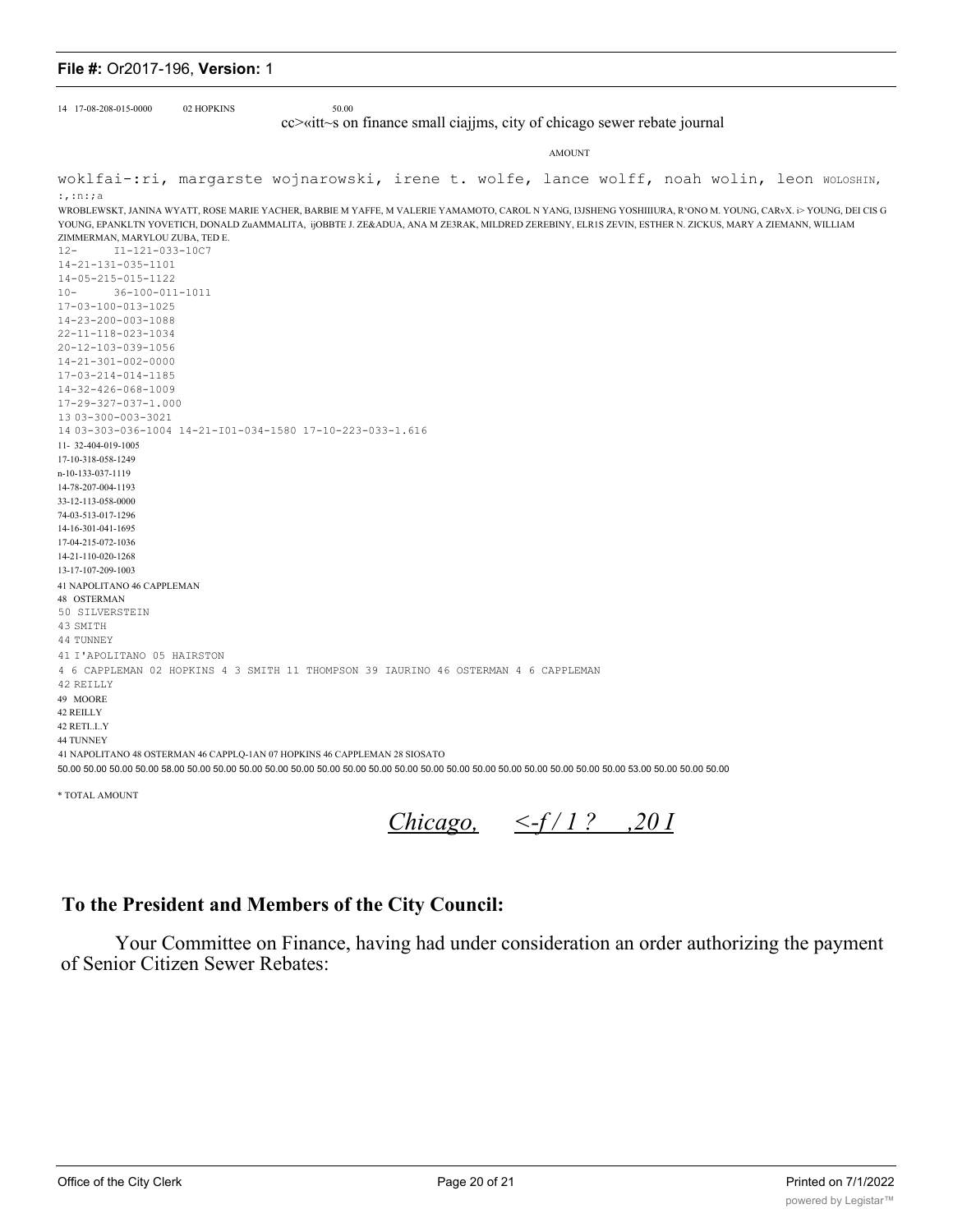| 14 17-08-208-015-0000                                                                                                                                                                                                                                                                                                                                                                                                                                                                                                                                                                                                                                                                                                                                                        | 02 HOPKINS | 50.00<br>cc>«itt~s on finance small ciajjms, city of chicago sewer rebate journal                                                                                                                                                                                                                                                                                                                                                                                             |               |  |  |  |  |  |
|------------------------------------------------------------------------------------------------------------------------------------------------------------------------------------------------------------------------------------------------------------------------------------------------------------------------------------------------------------------------------------------------------------------------------------------------------------------------------------------------------------------------------------------------------------------------------------------------------------------------------------------------------------------------------------------------------------------------------------------------------------------------------|------------|-------------------------------------------------------------------------------------------------------------------------------------------------------------------------------------------------------------------------------------------------------------------------------------------------------------------------------------------------------------------------------------------------------------------------------------------------------------------------------|---------------|--|--|--|--|--|
|                                                                                                                                                                                                                                                                                                                                                                                                                                                                                                                                                                                                                                                                                                                                                                              |            |                                                                                                                                                                                                                                                                                                                                                                                                                                                                               | <b>AMOUNT</b> |  |  |  |  |  |
| woklfai-:ri, margarste wojnarowski, irene t. wolfe, lance wolff, noah wolin, leon woLosHIN,                                                                                                                                                                                                                                                                                                                                                                                                                                                                                                                                                                                                                                                                                  |            |                                                                                                                                                                                                                                                                                                                                                                                                                                                                               |               |  |  |  |  |  |
| $:$ , :n:;a<br>ZIMMERMAN, MARYLOU ZUBA, TED E.<br>I1-121-033-10C7<br>$12 -$<br>14-21-131-035-1101<br>14-05-215-015-1122<br>36-100-011-1011<br>$10 -$<br>17-03-100-013-1025<br>14-23-200-003-1088<br>22-11-118-023-1034<br>20-12-103-039-1056<br>14-21-301-002-0000<br>17-03-214-014-1185<br>14-32-426-068-1009<br>17-29-327-037-1.000<br>13 03-300-003-3021<br>11-32-404-019-1005<br>17-10-318-058-1249<br>n-10-133-037-1119<br>14-78-207-004-1193<br>33-12-113-058-0000<br>74-03-513-017-1296<br>14-16-301-041-1695<br>17-04-215-072-1036<br>14-21-110-020-1268<br>13-17-107-209-1003<br>41 NAPOLITANO 46 CAPPLEMAN<br>48 OSTERMAN<br>50 SILVERSTEIN<br>43 SMITH<br>44 TUNNEY<br>41 I'APOLITANO 05 HAIRSTON<br>42 REILLY<br>49 MOORE<br>42 REILLY<br>42 RETIIY<br>44 TUNNEY |            | WROBLEWSKT, JANINA WYATT, ROSE MARIE YACHER, BARBIE M YAFFE, M VALERIE YAMAMOTO, CAROL N YANG, I3JSHENG YOSHIIIURA, R°ONO M. YOUNG, CARvX. i> YOUNG, DEI CIS G<br>YOUNG, EPANKLTN YOVETICH, DONALD ZuAMMALITA, ijOBBTE J. ZE&ADUA, ANA M ZE3RAK, MILDRED ZEREBINY, ELR1S ZEVIN, ESTHER N. ZICKUS, MARY A ZIEMANN, WILLIAM<br>14 03-303-036-1004 14-21-101-034-1580 17-10-223-033-1.616<br>4 6 CAPPLEMAN 02 HOPKINS 4 3 SMITH 11 THOMPSON 39 IAURINO 46 OSTERMAN 4 6 CAPPLEMAN |               |  |  |  |  |  |
|                                                                                                                                                                                                                                                                                                                                                                                                                                                                                                                                                                                                                                                                                                                                                                              |            | 41 NAPOLITANO 48 OSTERMAN 46 CAPPLQ-1AN 07 HOPKINS 46 CAPPLEMAN 28 SIOSATO<br>50.00 50.00 50.00 50.00 58.00 50.00 50.00 50.00 50.00 50.00 50.00 50.00 50.00 50.00 50.00 50.00 50.00 50.00 50.00 50.00 50.00 50.00 50.00 50.00 53.00 50.00 50.00 50.00 50.00                                                                                                                                                                                                                   |               |  |  |  |  |  |
| * TOTAL AMOUNT                                                                                                                                                                                                                                                                                                                                                                                                                                                                                                                                                                                                                                                                                                                                                               |            |                                                                                                                                                                                                                                                                                                                                                                                                                                                                               |               |  |  |  |  |  |

Chicago,  $\leq f/1$ ? ,201

# To the President and Members of the City Council:

Your Committee on Finance, having had under consideration an order authorizing the payment of Senior Citizen Sewer Rebates: